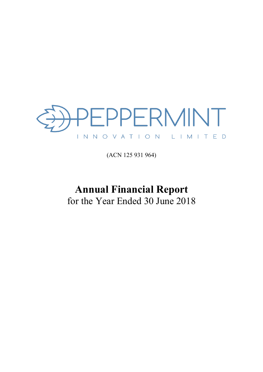

(ACN 125 931 964)

# **Annual Financial Report** for the Year Ended 30 June 2018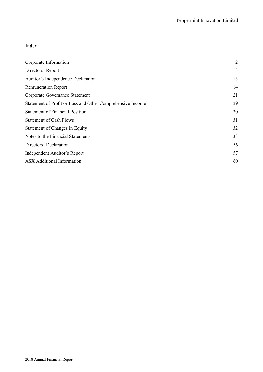# **Index**

| Corporate Information                                      | $\overline{2}$ |
|------------------------------------------------------------|----------------|
| Directors' Report                                          | $\overline{3}$ |
| Auditor's Independence Declaration                         | 13             |
| <b>Remuneration Report</b>                                 | 14             |
| Corporate Governance Statement                             | 21             |
| Statement of Profit or Loss and Other Comprehensive Income | 29             |
| <b>Statement of Financial Position</b>                     | 30             |
| <b>Statement of Cash Flows</b>                             | 31             |
| Statement of Changes in Equity                             | 32             |
| Notes to the Financial Statements                          | 33             |
| Directors' Declaration                                     | 56             |
| Independent Auditor's Report                               | 57             |
| <b>ASX</b> Additional Information                          | 60             |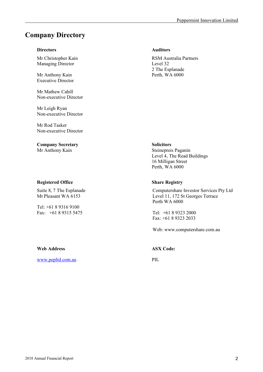# **Company Directory**

# **Directors Auditors**

Mr Christopher Kain Managing Director

Mr Anthony Kain Executive Director

Mr Mathew Cahill Non-executive Director

Mr Leigh Ryan Non-executive Director

Mr Rod Tasker Non-executive Director

**Company Secretary Solicitors** Mr Anthony Kain Steinepreis Paganin

# **Registered Office Share Registry**

Suite 8, 7 The Esplanade Mt Pleasant WA 6153

Tel:  $+61893169100$ Fax: +61 8 9315 5475

RSM Australia Partners Level 32 2 The Esplanade Perth, WA 6000

Level 4, The Read Buildings 16 Milligan Street Perth, WA 6000

Computershare Investor Services Pty Ltd Level 11, 172 St Georges Terrace Perth WA 6000

Tel: +61 8 9323 2000 Fax: +61 8 9323 2033

Web: www.computershare.com.au

# **Web Address ASX Code:**

www.pepltd.com.au PIL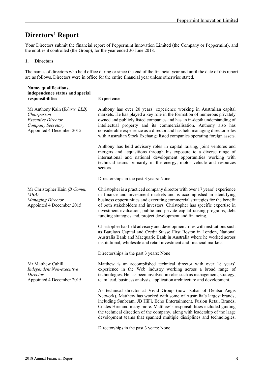# **Directors' Report**

Your Directors submit the financial report of Peppermint Innovation Limited (the Company or Peppermint), and the entities it controlled (the Group), for the year ended 30 June 2018.

### **1. Directors**

The names of directors who held office during or since the end of the financial year and until the date of this report are as follows. Directors were in office for the entire financial year unless otherwise stated.

| Name, qualifications,<br>independence status and special<br>responsibilities                                                                 | <b>Experience</b>                                                                                                                                                                                                                                                                                                                                                                                                                                           |
|----------------------------------------------------------------------------------------------------------------------------------------------|-------------------------------------------------------------------------------------------------------------------------------------------------------------------------------------------------------------------------------------------------------------------------------------------------------------------------------------------------------------------------------------------------------------------------------------------------------------|
| Mr Anthony Kain ( <i>BJuris</i> , <i>LLB</i> )<br>Chairperson<br><b>Executive Director</b><br>Company Secretary<br>Appointed 4 December 2015 | Anthony has over 20 years' experience working in Australian capital<br>markets. He has played a key role in the formation of numerous privately<br>owned and publicly listed companies and has an in-depth understanding of<br>intellectual property and its commercialisation. Anthony also has<br>considerable experience as a director and has held managing director roles<br>with Australian Stock Exchange listed companies operating foreign assets. |
|                                                                                                                                              | Anthony has held advisory roles in capital raising, joint ventures and<br>mergers and acquisitions through his exposure to a diverse range of<br>international and national development opportunities working with<br>technical teams primarily in the energy, motor vehicle and resources<br>sectors.                                                                                                                                                      |
|                                                                                                                                              | Directorships in the past 3 years: None                                                                                                                                                                                                                                                                                                                                                                                                                     |
| Mr Christopher Kain ( $B \text{ Comm}$ ,<br><i>MBA</i> )<br><b>Managing Director</b><br>Appointed 4 December 2015                            | Christopher is a practiced company director with over 17 years' experience<br>in finance and investment markets and is accomplished in identifying<br>business opportunities and executing commercial strategies for the benefit<br>of both stakeholders and investors. Christopher has specific expertise in<br>investment evaluation, public and private capital raising programs, debt<br>funding strategies and, project development and financing.     |
|                                                                                                                                              | Christopher has held advisory and development roles with institutions such<br>as Barclays Capital and Credit Suisse First Boston in London, National<br>Australia Bank and Macquarie Bank in Australia where he worked across<br>institutional, wholesale and retail investment and financial markets.                                                                                                                                                      |
|                                                                                                                                              | Directorships in the past 3 years: None                                                                                                                                                                                                                                                                                                                                                                                                                     |
| Mr Matthew Cahill<br>Independent Non-executive<br>Director<br>Appointed 4 December 2015                                                      | Matthew is an accomplished technical director with over 18 years'<br>experience in the Web industry working across a broad range of<br>technologies. He has been involved in roles such as management, strategy,<br>team lead, business analysis, application architecture and development.                                                                                                                                                                 |
|                                                                                                                                              | As technical director at Vivid Group (now Isobar of Dentsu Aegis<br>Network), Matthew has worked with some of Australia's largest brands,<br>including Sunbeam, JB HiFi, Echo Entertainment, Fusion Retail Brands,<br>Coates Hire and many more. Matthew's responsibilities included guiding<br>the technical direction of the company, along with leadership of the large<br>development teams that spanned multiple disciplines and technologies.         |
|                                                                                                                                              | Directorships in the past 3 years: None                                                                                                                                                                                                                                                                                                                                                                                                                     |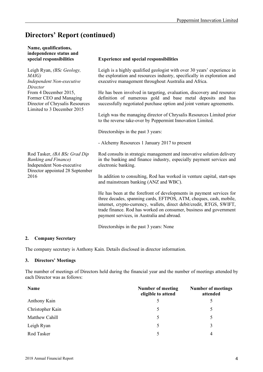# **Name, qualifications, independence status and**

Leigh Ryan, *(BSc Geology, MAIG) Independent Non-executive Director*  From 4 December 2015, Former CEO and Managing Director of Chrysalis Resources Limited to 3 December 2015

# **special responsibilities Experience and special responsibilities**

Leigh is a highly qualified geologist with over 30 years' experience in the exploration and resources industry, specifically in exploration and executive management throughout Australia and Africa.

He has been involved in targeting, evaluation, discovery and resource definition of numerous gold and base metal deposits and has successfully negotiated purchase option and joint venture agreements.

Leigh was the managing director of Chrysalis Resources Limited prior to the reverse take-over by Peppermint Innovation Limited.

Directorships in the past 3 years:

- Alchemy Resources 1 January 2017 to present

Rod Tasker, *(BA BSc Grad Dip Banking and Finance)* Independent Non-executive Director appointed 28 September 2016

Rod consults in strategic management and innovative solution delivery in the banking and finance industry, especially payment services and electronic banking.

In addition to consulting, Rod has worked in venture capital, start-ups and mainstream banking (ANZ and WBC).

He has been at the forefront of developments in payment services for three decades, spanning cards, EFTPOS, ATM, cheques, cash, mobile, internet, crypto-currency, wallets, direct debit/credit, RTGS, SWIFT, trade finance. Rod has worked on consumer, business and government payment services, in Australia and abroad.

Directorships in the past 3 years: None

# **2. Company Secretary**

The company secretary is Anthony Kain. Details disclosed in director information.

# **3. Directors' Meetings**

The number of meetings of Directors held during the financial year and the number of meetings attended by each Director was as follows:

| Name             | Number of meeting<br>eligible to attend | <b>Number of meetings</b><br>attended |
|------------------|-----------------------------------------|---------------------------------------|
| Anthony Kain     |                                         |                                       |
| Christopher Kain | 5                                       | $\mathcal{D}$                         |
| Matthew Cahill   | 5                                       | 5                                     |
| Leigh Ryan       | 5                                       | 3                                     |
| Rod Tasker       | ς                                       | 4                                     |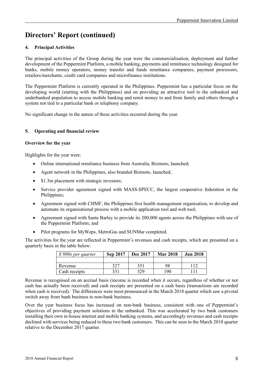# **4. Principal Activities**

The principal activities of the Group during the year were the commercialisation, deployment and further development of the Peppermint Platform, a mobile banking, payments and remittance technology designed for banks, mobile money operators, money transfer and funds remittance companies, payment processors, retailers/merchants, credit card companies and microfinance institutions.

The Peppermint Platform is currently operated in the Philippines. Peppermint has a particular focus on the developing world (starting with the Philippines) and on providing an attractive tool to the unbanked and underbanked population to access mobile banking and remit money to and from family and others through a system not tied to a particular bank or telephony company.

No significant change in the nature of these activities occurred during the year.

# **5. Operating and financial review**

# **Overview for the year**

Highlights for the year were:

- Online international remittance business from Australia, Bizmoto, launched;
- Agent network in the Philippines, also branded Bizmoto, launched;
- \$1.3m placement with strategic investors;
- Service provider agreement signed with MASS-SPECC, the largest cooperative federation in the Philippines;
- Agreement signed with CHMF, the Philippines first health management organisation, to develop and automate its organisational process with a mobile application tool and web tool;
- Agreement signed with Sante Barley to provide its 200,000 agents across the Philippines with use of the Peppermint Platform; and
- Pilot programs for MyWeps, MetroGas and SUNMar completed.

The activities for the year are reflected in Peppermint's revenues and cash receipts, which are presented on a quarterly basis in the table below:

| \$'000s per quarter | Sep 2017 | Dec 2017 | <b>Mar 2018</b> | <b>Jun 2018</b> |
|---------------------|----------|----------|-----------------|-----------------|
|                     |          |          |                 |                 |
| Revenue             | 377      | 351      | 98              |                 |
| Cash receipts       | 331      | 329      | 190             |                 |

Revenue is recognised on an accrual basis (income is recorded when it occurs, regardless of whether or not cash has actually been received) and cash receipts are presented on a cash basis (transactions are recorded when cash is received). The differences were most pronounced in the March 2018 quarter which saw a pivotal switch away from bank business to non-bank business.

Over the year business focus has increased on non-bank business, consistent with one of Peppermint's objectives of providing payment solutions to the unbanked. This was accelerated by two bank customers installing their own in-house internet and mobile banking systems, and accordingly revenues and cash receipts declined with services being reduced to these two bank customers. This can be seen in the March 2018 quarter relative to the December 2017 quarter.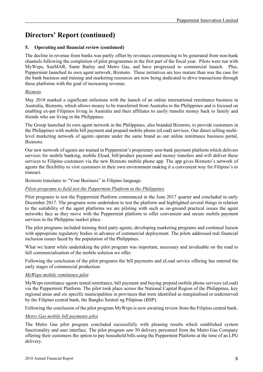# **5. Operating and financial review (continued)**

The decline in revenue from banks was partly offset by revenues commencing to be generated from non-bank channels following the completion of pilot programmes in the first part of the fiscal year. Pilots were run with MyWeps, SunMAR, Sante Barley and Metro Gas, and have progressed to commercial launch. Plus, Peppermint launched its own agent network, Bizmoto. These initiatives are less mature than was the case for the bank business and training and marketing resources are now being dedicated to drive transactions through these platforms with the goal of increasing revenue.

# *Bizmoto*

May 2018 marked a significant milestone with the launch of an online international remittance business in Australia, Bizmoto, which allows money to be transferred from Australia to the Philippines and is focused on enabling ex-pat Filipinos living in Australia and their affiliates to easily transfer money back to family and friends who are living in the Philippines.

The Group launched its own agent network in the Philippines, also branded Bizmoto, to provide customers in the Philippines with mobile bill payment and prepaid mobile phone (eLoad) services. Our direct selling multilevel marketing network of agents operate under the same brand as our online remittance business portal, Bizmoto.

Our new network of agents are trained in Peppermint's proprietary non-bank payment platform which delivers services for mobile banking, mobile Eload, bill/product payment and money transfers and will deliver these services to Filipino customers via the new Bizmoto mobile phone app. The app gives Bizmoto's network of agents the flexibility to visit customers in their own environment making it a convenient way for Filipino's to transact.

Bizmoto translates to "Your Business" in Filipino language.

# *Pilots programs to field test the Peppermint Platform in the Philippines*

Pilot programs to test the Peppermint Platform commenced in the June 2017 quarter and concluded in early December 2017. The programs were undertaken to test the platform and highlighted several things in relation to the suitability of the agent platforms we are piloting with such as on-ground practical issues the agent networks face as they move with the Peppermint platform to offer convenient and secure mobile payment services in the Philippine market place.

The pilot programs included training third party agents, developing marketing programs and continual liaison with appropriate regulatory bodies in advance of commercial deployment. The pilots addressed real financial inclusion issues faced by the population of the Philippines.

What we learnt while undertaking the pilot program was important, necessary and invaluable on the road to full commercialisation of the mobile solution we offer.

Following the conclusion of the pilot programs the bill payments and eLoad service offering has entered the early stages of commercial production.

# *MyWeps mobile remittance pilot*

MyWeps remittance agents tested remittance, bill payment and buying prepaid mobile phone services (eLoad) via the Peppermint Platform. The pilot took place across the National Capital Region of the Philippines, key regional areas and six specific municipalities in provinces that were identified as marginalised or underserved by the Filipino central bank, the Bangko Sentral ng Pilipinas (BSP).

Following the conclusion of the pilot program MyWeps is now awaiting review from the Filipino central bank.

# *Metro Gas mobile bill payments pilot*

The Metro Gas pilot program concluded successfully with pleasing results which established system functionality and user interface. The pilot program saw 50 delivery personnel from the Metro Gas Company offering their customers the option to pay household bills using the Peppermint Platform at the time of an LPG delivery.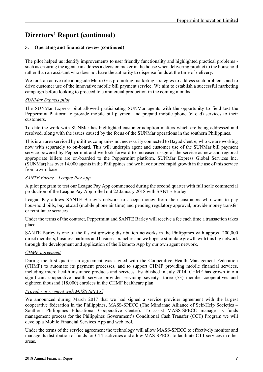# **5. Operating and financial review (continued)**

The pilot helped us identify improvements to user friendly functionality and highlighted practical problems such as ensuring the agent can address a decision maker in the house when delivering product to the household rather than an assistant who does not have the authority to dispense funds at the time of delivery.

We took an active role alongside Metro Gas promoting marketing strategies to address such problems and to drive customer use of the innovative mobile bill payment service. We aim to establish a successful marketing campaign before looking to proceed to commercial production in the coming months.

# *SUNMar Express pilot*

The SUNMar Express pilot allowed participating SUNMar agents with the opportunity to field test the Peppermint Platform to provide mobile bill payment and prepaid mobile phone (eLoad) services to their customers.

To date the work with SUNMar has highlighted customer adoption matters which are being addressed and resolved, along with the issues caused by the focus of the SUNMar operations in the southern Philippines.

This is an area serviced by utilities companies not necessarily connected to Bayad Centre, who we are working now with separately to on-board. This will underpin agent and customer use of the SUNMar bill payment service powered by Peppermint and we look forward to increased usage of the service as new and regional appropriate billers are on-boarded to the Peppermint platform. SUNMar Express Global Services Inc. (SUNMar) has over 14,000 agents in the Philippines and we have noticed rapid growth in the use of this service from a zero base.

# *SANTE Barley – League Pay App*

A pilot program to test our League Pay App commenced during the second quarter with full scale commercial production of the League Pay App rolled out 22 January 2018 with SANTE Barley.

League Pay allows SANTE Barley's network to accept money from their customers who want to pay household bills, buy eLoad (mobile phone air time) and pending regulatory approval, provide money transfer or remittance services.

Under the terms of the contract, Peppermint and SANTE Barley will receive a fee each time a transaction takes place.

SANTE Barley is one of the fastest growing distribution networks in the Philippines with approx. 200,000 direct members, business partners and business branches and we hope to stimulate growth with this big network through the development and application of the Bizmoto App by our own agent network.

# *CHMF agreement*

During the first quarter an agreement was signed with the Cooperative Health Management Federation (CHMF) to automate its payment processes, and to support CHMF providing mobile financial services, including micro health insurance products and services. Established in July 2014, CHMF has grown into a significant cooperative health service provider servicing seventy- three (73) member-cooperatives and eighteen thousand (18,000) enrolees in the CHMF healthcare plan.

# *Provider agreement with MASS-SPECC*

We announced during March 2017 that we had signed a service provider agreement with the largest cooperative federation in the Philippines, MASS-SPECC (The Mindanao Alliance of Self-Help Societies – Southern Philippines Educational Cooperative Center). To assist MASS-SPECC manage its funds management process for the Philippines Government's Conditional Cash Transfer (CCT) Program we will develop a Mobile Financial Services App and web tool.

Under the terms of the service agreement the technology will allow MASS-SPECC to effectively monitor and manage its distribution of funds for CTT activities and allow MAS-SPECC to facilitate CTT services in other areas.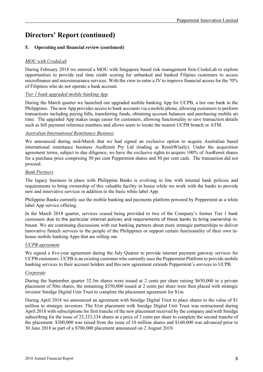# **5. Operating and financial review (continued)**

# *MOU with CredoLab*

During February 2018 we entered a MOU with Singapore based risk management firm CredoLab to explore opportunities to provide real time credit scoring for unbanked and banked Filipino customers to access microfinance and microinsurance services. With the view to enter a JV to improve financial access for the 70% of Filipinos who do not operate a bank account.

### *Tier 1 bank upgraded mobile banking App*

During the March quarter we launched our upgraded mobile banking App for UCPB, a tier one bank in the Philippines. The new App provides access to bank accounts via a mobile phone, allowing customers to perform transactions including paying bills, transferring funds, obtaining account balances and purchasing mobile air time. The upgraded App makes usage easier for customers, allowing functionality to save transaction details such as bill payment reference numbers and allows users to locate the nearest UCPB branch or ATM.

### *Australian International Remittance Business*

We announced during mid-March that we had signed an exclusive option to acquire Australian based international remittance business AusRemit Pty Ltd (trading as RemitWisely). Under the acquisition agreement terms, subject to due diligence, we have the exclusive rights to acquire 100% of AusRemit shares for a purchase price comprising 50 per cent Peppermint shares and 50 per cent cash. The transaction did not proceed.

### *Bank Partners*

The legacy business in place with Philippine Banks is evolving in line with internal bank policies and requirements to bring ownership of this valuable facility in house while we work with the banks to provide new and innovative services in addition to the basic white label App.

Philippine Banks currently use the mobile banking and payments platform powered by Peppermint as a white label App service offering.

In the March 2018 quarter, services ceased being provided to two of the Company's former Tier 1 bank customers due to the particular internal policies and requirements of these banks to bring ownership inhouse. We are continuing discussions with our banking partners about more strategic partnerships to deliver innovative fintech services to the people of the Philippines or support certain functionality of their own inhouse mobile banking Apps that are rolling out.

# *UCPB agreement*

We signed a five-year agreement during the July Quarter to provide internet payment gateway services for UCPB customers. UCPB is an existing customer who currently uses the Peppermint Platform to provide mobile banking services to their account holders and this new agreement extends Peppermint's services to UCPB.

# *Corporate*

During the September quarter 32.5m shares were issued at 2 cents per share raising \$650,000 in a private placement of 50m shares, the remaining \$350,000 issued at 2 cents per share were then placed with strategic investor Smidge Digital Unit Trust to complete the placement agreement for \$1m.

During April 2018 we announced an agreement with Smidge Digital Trust to place shares to the value of \$1 million to strategic investors. The \$1m placement with Smidge Digital Unit Trust was restructured during April 2018 with subscriptions for first tranche of the new placement received by the company and with Smidge subscribing for the issue of 23,333,334 shares at a price of 3 cents per share to complete the second tranche of the placement. \$300,000 was raised from the issue of 10 million shares and \$160,000 was advanced prior to 30 June 2018 as part of a \$700,000 placement announced on 2 August 2018.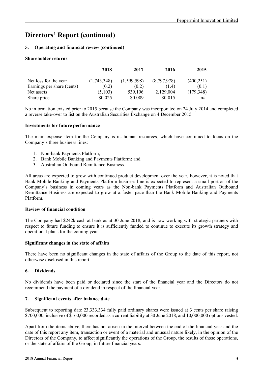# **5. Operating and financial review (continued)**

# **Shareholder returns**

|                            | 2018        | 2017        | 2016        | 2015       |
|----------------------------|-------------|-------------|-------------|------------|
| Net loss for the year      | (1,743,348) | (1,599,598) | (8,797,978) | (400, 251) |
| Earnings per share (cents) | (0.2)       | (0.2)       | (1.4)       | (0.1)      |
| Net assets                 | (5,103)     | 539,196     | 2,129,004   | (179, 348) |
| Share price                | \$0.025     | \$0.009     | \$0.015     | n/a        |

No information existed prior to 2015 because the Company was incorporated on 24 July 2014 and completed a reverse take-over to list on the Australian Securities Exchange on 4 December 2015.

# **Investments for future performance**

The main expense item for the Company is its human resources, which have continued to focus on the Company's three business lines:

- 1. Non-bank Payments Platform;
- 2. Bank Mobile Banking and Payments Platform; and
- 3. Australian Outbound Remittance Business.

All areas are expected to grow with continued product development over the year, however, it is noted that Bank Mobile Banking and Payments Platform business line is expected to represent a small portion of the Company's business in coming years as the Non-bank Payments Platform and Australian Outbound Remittance Business are expected to grow at a faster pace than the Bank Mobile Banking and Payments Platform.

# **Review of financial condition**

The Company had \$242k cash at bank as at 30 June 2018, and is now working with strategic partners with respect to future funding to ensure it is sufficiently funded to continue to execute its growth strategy and operational plans for the coming year.

# **Significant changes in the state of affairs**

There have been no significant changes in the state of affairs of the Group to the date of this report, not otherwise disclosed in this report.

# **6. Dividends**

No dividends have been paid or declared since the start of the financial year and the Directors do not recommend the payment of a dividend in respect of the financial year.

# **7. Significant events after balance date**

Subsequent to reporting date 23,333,334 fully paid ordinary shares were issued at 3 cents per share raising \$700,000, inclusive of \$160,000 recorded as a current liability at 30 June 2018, and 10,000,000 options vested.

Apart from the items above, there has not arisen in the interval between the end of the financial year and the date of this report any item, transaction or event of a material and unusual nature likely, in the opinion of the Directors of the Company, to affect significantly the operations of the Group, the results of those operations, or the state of affairs of the Group, in future financial years.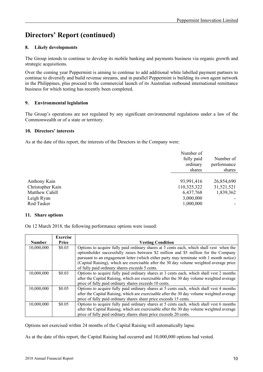# **8. Likely developments**

The Group intends to continue to develop its mobile banking and payments business via organic growth and strategic acquisitions.

Over the coming year Peppermint is aiming to continue to add additional white labelled payment partners to continue to diversify and build revenue streams, and in parallel Peppermint is building its own agent network in the Philippines, plus proceed to the commercial launch of its Australian outbound international remittance business for which testing has recently been completed.

# **9. Environmental legislation**

The Group's operations are not regulated by any significant environmental regulations under a law of the Commonwealth or of a state or territory.

# **10. Directors' interests**

As at the date of this report, the interests of the Directors in the Company were:

|                  | Number of<br>fully paid<br>ordinary<br>shares | Number of<br>performance<br>shares |
|------------------|-----------------------------------------------|------------------------------------|
|                  |                                               |                                    |
| Anthony Kain     | 93,991,416                                    | 26,854,690                         |
| Christopher Kain | 110,325,322                                   | 31,521,521                         |
| Matthew Cahill   | 6,437,768                                     | 1,839,362                          |
| Leigh Ryan       | 3,000,000                                     |                                    |
| Rod Tasker       | 1,000,000                                     |                                    |

# **11. Share options**

On 12 March 2018, the following performance options were issued:

|               | <b>Exercise</b> |                                                                                                                                                                                                                                                                                                                                                                                                                          |
|---------------|-----------------|--------------------------------------------------------------------------------------------------------------------------------------------------------------------------------------------------------------------------------------------------------------------------------------------------------------------------------------------------------------------------------------------------------------------------|
| <b>Number</b> | Price           | <b>Vesting Condition</b>                                                                                                                                                                                                                                                                                                                                                                                                 |
| 10,000,000    | \$0.03          | Options to acquire fully paid ordinary shares at 3 cents each, which shall vest when the<br>optionholder successfully raises between \$2 million and \$5 million for the Company<br>pursuant to an engagement letter (which either party may terminate with 1 month notice)<br>(Capital Raising), which are exercisable after the 30 day volume weighted average price<br>of fully paid ordinary shares exceeds 5 cents. |
| 10,000,000    | \$0.03          | Options to acquire fully paid ordinary shares at 3 cents each, which shall vest 2 months<br>after the Capital Raising, which are exercisable after the 30 day volume weighted average<br>price of fully paid ordinary shares exceeds 10 cents.                                                                                                                                                                           |
| 10,000,000    | \$0.05          | Options to acquire fully paid ordinary shares at 5 cents each, which shall vest 4 months<br>after the Capital Raising, which are exercisable after the 30 day volume weighted average<br>price of fully paid ordinary shares share price exceeds 15 cents.                                                                                                                                                               |
| 10,000,000    | \$0.05          | Options to acquire fully paid ordinary shares at 5 cents each, which shall vest 6 months<br>after the Capital Raising, which are exercisable after the 30 day volume weighted average<br>price of fully paid ordinary shares share price exceeds 20 cents.                                                                                                                                                               |

Options not exercised within 24 months of the Capital Raising will automatically lapse.

As at the date of this report, the Capital Raising had occurred and 10,000,000 options had vested.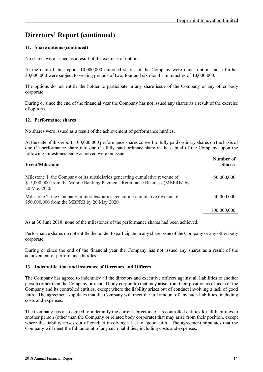# **11. Share options (continued)**

No shares were issued as a result of the exercise of options.

At the date of this report, 10,000,000 unissued shares of the Company were under option and a further 30,000,000 were subject to vesting periods of two, four and six months in tranches of 10,000,000.

The options do not entitle the holder to participate in any share issue of the Company or any other body corporate.

During or since the end of the financial year the Company has not issued any shares as a result of the exercise of options.

# **12. Performance shares**

No shares were issued as a result of the achievement of performance hurdles.

At the date of this report, 100,000,000 performance shares convert to fully paid ordinary shares on the basis of one (1) performance share into one (1) fully paid ordinary share in the capital of the Company, upon the following milestones being achieved were on issue:

| <b>Event/Milestone</b>                                                                                                                                                       | Number of<br><b>Shares</b> |
|------------------------------------------------------------------------------------------------------------------------------------------------------------------------------|----------------------------|
| Milestone 1: the Company or its subsidiaries generating cumulative revenue of<br>\$15,000,000 from the Mobile Banking Payments Remittance Business (MBPRB) by<br>20 May 2020 | 50,000,000                 |
| Milestone 2: the Company or its subsidiaries generating cumulative revenue of<br>\$50,000,000 from the MBPRB by 20 May 2020                                                  | 50,000,000                 |
|                                                                                                                                                                              | 100,000,000                |

As at 30 June 2018, none of the milestones of the performance shares had been achieved.

Performance shares do not entitle the holder to participate in any share issue of the Company or any other body corporate.

During or since the end of the financial year the Company has not issued any shares as a result of the achievement of performance hurdles.

### **13. Indemnification and insurance of Directors and Officers**

The Company has agreed to indemnify all the directors and executive officers against all liabilities to another person (other than the Company or related body corporate) that may arise from their position as officers of the Company and its controlled entities, except where the liability arises out of conduct involving a lack of good faith. The agreement stipulates that the Company will meet the full amount of any such liabilities, including costs and expenses.

The Company has also agreed to indemnify the current Directors of its controlled entities for all liabilities to another person (other than the Company or related body corporate) that may arise from their position, except where the liability arises out of conduct involving a lack of good faith. The agreement stipulates that the Company will meet the full amount of any such liabilities, including costs and expenses.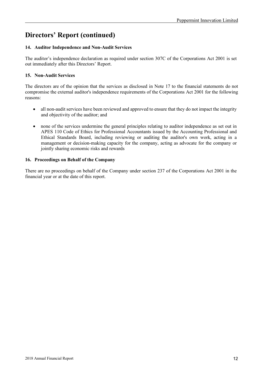# **14. Auditor Independence and Non-Audit Services**

The auditor's independence declaration as required under section 307C of the Corporations Act 2001 is set out immediately after this Directors' Report.

# **15. Non-Audit Services**

The directors are of the opinion that the services as disclosed in Note 17 to the financial statements do not compromise the external auditor's independence requirements of the Corporations Act 2001 for the following reasons:

- all non-audit services have been reviewed and approved to ensure that they do not impact the integrity and objectivity of the auditor; and
- none of the services undermine the general principles relating to auditor independence as set out in APES 110 Code of Ethics for Professional Accountants issued by the Accounting Professional and Ethical Standards Board, including reviewing or auditing the auditor's own work, acting in a management or decision-making capacity for the company, acting as advocate for the company or jointly sharing economic risks and rewards

# **16. Proceedings on Behalf of the Company**

There are no proceedings on behalf of the Company under section 237 of the Corporations Act 2001 in the financial year or at the date of this report.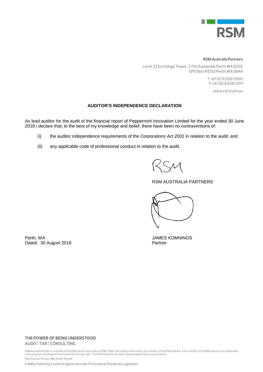

#### **RSM Australia Partners**

Level 32 Exchange Tower, 2 The Esplanade Perth WA 6000 GPO Box R1253 Perth WA 6844

> T +61 (0) 8 9261 9100 F +61 (0) 8 9261 9111

> > www.rsm.com.au

### **AUDITOR'S INDEPENDENCE DECLARATION**

As lead auditor for the audit of the financial report of Peppermint Innovation Limited for the year ended 30 June 2018 I declare that, to the best of my knowledge and belief, there have been no contraventions of:

- (i) the auditor independence requirements of the *Corporations Act 2001* in relation to the audit; and
- (ii) any applicable code of professional conduct in relation to the audit.

RSM AUSTRALIA PARTNERS



Perth, WA JAMES KOMNINOS Dated: 30 August 2018 **Partner** 

#### **THE POWER OF BEING UNDERSTOOD** AUDIT | TAX | CONSULTING

RSM Australia Partners is a member of the RSM network and trades as RSM. RSM is the trading name used by the members of the RSM network. Each member of the RSM network is an independent accounting and consulting firm which practices in its own right. The RSM network is not itself a separate legal entity in any jurisdiction. RSM Australia Partners ABN 36 965 185 036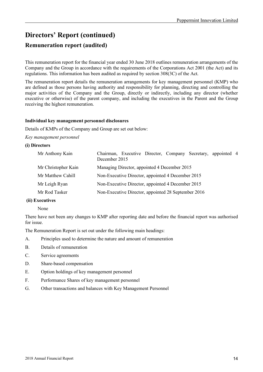# **Remuneration report (audited)**

This remuneration report for the financial year ended 30 June 2018 outlines remuneration arrangements of the Company and the Group in accordance with the requirements of the Corporations Act 2001 (the Act) and its regulations. This information has been audited as required by section 308(3C) of the Act.

The remuneration report details the remuneration arrangements for key management personnel (KMP) who are defined as those persons having authority and responsibility for planning, directing and controlling the major activities of the Company and the Group, directly or indirectly, including any director (whether executive or otherwise) of the parent company, and including the executives in the Parent and the Group receiving the highest remuneration.

# **Individual key management personnel disclosures**

Details of KMPs of the Company and Group are set out below:

*Key management personnel*

# **(i) Directors**

| Mr Anthony Kain     | Chairman, Executive Director, Company Secretary, appointed 4<br>December 2015 |
|---------------------|-------------------------------------------------------------------------------|
| Mr Christopher Kain | Managing Director, appointed 4 December 2015                                  |
| Mr Matthew Cahill   | Non-Executive Director, appointed 4 December 2015                             |
| Mr Leigh Ryan       | Non-Executive Director, appointed 4 December 2015                             |
| Mr Rod Tasker       | Non-Executive Director, appointed 28 September 2016                           |

### **(ii) Executives**

None

There have not been any changes to KMP after reporting date and before the financial report was authorised for issue.

The Remuneration Report is set out under the following main headings:

- A. Principles used to determine the nature and amount of remuneration
- B. Details of remuneration
- C. Service agreements
- D. Share-based compensation
- E. Option holdings of key management personnel
- F. Performance Shares of key management personnel
- G. Other transactions and balances with Key Management Personnel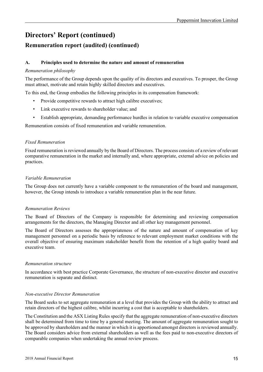# **Remuneration report (audited) (continued)**

# **A. Principles used to determine the nature and amount of remuneration**

# *Remuneration philosophy*

The performance of the Group depends upon the quality of its directors and executives. To prosper, the Group must attract, motivate and retain highly skilled directors and executives.

To this end, the Group embodies the following principles in its compensation framework:

- Provide competitive rewards to attract high calibre executives;
- Link executive rewards to shareholder value; and
- Establish appropriate, demanding performance hurdles in relation to variable executive compensation

Remuneration consists of fixed remuneration and variable remuneration.

### *Fixed Remuneration*

Fixed remuneration is reviewed annually by the Board of Directors. The process consists of a review of relevant comparative remuneration in the market and internally and, where appropriate, external advice on policies and practices.

### *Variable Remuneration*

The Group does not currently have a variable component to the remuneration of the board and management, however, the Group intends to introduce a variable remuneration plan in the near future.

### *Remuneration Reviews*

The Board of Directors of the Company is responsible for determining and reviewing compensation arrangements for the directors, the Managing Director and all other key management personnel.

The Board of Directors assesses the appropriateness of the nature and amount of compensation of key management personnel on a periodic basis by reference to relevant employment market conditions with the overall objective of ensuring maximum stakeholder benefit from the retention of a high quality board and executive team.

### *Remuneration structure*

In accordance with best practice Corporate Governance, the structure of non-executive director and executive remuneration is separate and distinct.

### *Non-executive Director Remuneration*

The Board seeks to set aggregate remuneration at a level that provides the Group with the ability to attract and retain directors of the highest calibre, whilst incurring a cost that is acceptable to shareholders.

The Constitution and the ASX Listing Rules specify that the aggregate remuneration of non-executive directors shall be determined from time to time by a general meeting. The amount of aggregate remuneration sought to be approved by shareholders and the manner in which it is apportioned amongst directors is reviewed annually. The Board considers advice from external shareholders as well as the fees paid to non-executive directors of comparable companies when undertaking the annual review process.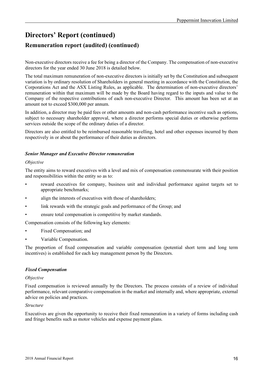# **Remuneration report (audited) (continued)**

Non-executive directors receive a fee for being a director of the Company. The compensation of non-executive directors for the year ended 30 June 2018 is detailed below.

The total maximum remuneration of non-executive directors is initially set by the Constitution and subsequent variation is by ordinary resolution of Shareholders in general meeting in accordance with the Constitution, the Corporations Act and the ASX Listing Rules, as applicable. The determination of non-executive directors' remuneration within that maximum will be made by the Board having regard to the inputs and value to the Company of the respective contributions of each non-executive Director. This amount has been set at an amount not to exceed \$300,000 per annum.

In addition, a director may be paid fees or other amounts and non-cash performance incentive such as options, subject to necessary shareholder approval, where a director performs special duties or otherwise performs services outside the scope of the ordinary duties of a director.

Directors are also entitled to be reimbursed reasonable travelling, hotel and other expenses incurred by them respectively in or about the performance of their duties as directors.

# *Senior Manager and Executive Director remuneration*

# *Objective*

The entity aims to reward executives with a level and mix of compensation commensurate with their position and responsibilities within the entity so as to:

- reward executives for company, business unit and individual performance against targets set to appropriate benchmarks;
- align the interests of executives with those of shareholders;
- link rewards with the strategic goals and performance of the Group; and
- ensure total compensation is competitive by market standards.

Compensation consists of the following key elements:

- Fixed Compensation; and
- Variable Compensation.

The proportion of fixed compensation and variable compensation (potential short term and long term incentives) is established for each key management person by the Directors.

# *Fixed Compensation*

### *Objective*

Fixed compensation is reviewed annually by the Directors. The process consists of a review of individual performance, relevant comparative compensation in the market and internally and, where appropriate, external advice on policies and practices.

### *Structure*

Executives are given the opportunity to receive their fixed remuneration in a variety of forms including cash and fringe benefits such as motor vehicles and expense payment plans.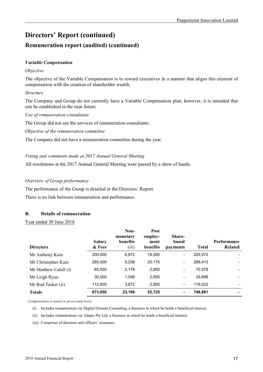# **Remuneration report (audited) (continued)**

# *Variable Compensation*

### *Objective*

The objective of the Variable Compensation is to reward executives in a manner that aligns this element of compensation with the creation of shareholder wealth.

### *Structure*

The Company and Group do not currently have a Variable Compensation plan, however, it is intended that one be established in the near future.

# *Use of remuneration consultants*

The Group did not use the services of remuneration consultants.

*Objective of the remuneration committee*

The Company did not have a remuneration committee during the year.

*Voting and comments made at 2017 Annual General Meeting*

All resolutions at the 2017 Annual General Meeting were passed by a show of hands.

# *Overview of Group performance*

The performance of the Group is detailed in the Directors' Report.

There is no link between remuneration and performance.

# **B. Details of remuneration**

# Year ended 30 June 2018

| <b>Directors</b>      | <b>Salary</b><br>& Fees | Non-<br>monetary<br>benefits<br>(iii) | Post<br>employ-<br>ment<br>benefits | Share-<br>based<br>payments | <b>Total</b> | Performance<br><b>Related</b> |
|-----------------------|-------------------------|---------------------------------------|-------------------------------------|-----------------------------|--------------|-------------------------------|
| Mr Anthony Kain       | 200,000                 | 6,972                                 | 19,000                              | $\overline{\phantom{a}}$    | 225,972      |                               |
| Mr Christopher Kain   | 265,000                 | 9,238                                 | 25,175                              | $\blacksquare$              | 299,413      | ۰                             |
| Mr Matthew Cahill (i) | 65,550                  | 2,178                                 | 2,850                               | $\overline{\phantom{a}}$    | 70,578       |                               |
| Mr Leigh Ryan         | 30,000                  | 1,046                                 | 2,850                               | $\overline{\phantom{a}}$    | 33,896       | $\overline{\phantom{0}}$      |
| Mr Rod Tasker (ii)    | 112,500                 | 3,672                                 | 2,850                               | $\overline{\phantom{a}}$    | 119,022      | $\overline{\phantom{0}}$      |
| <b>Totals</b>         | 673,050                 | 23,106                                | 52,725                              | $\blacksquare$              | 748,881      | ۰                             |

*Compensation is stated on an accruals basis.*

(i) Includes remuneration via Digital Domain Consulting, a business in which he holds a beneficial interest.

(ii) Includes remuneration via Adapts Pty Ltd, a business in which he holds a beneficial interest.

(iii) Comprises of directors and officers' insurance.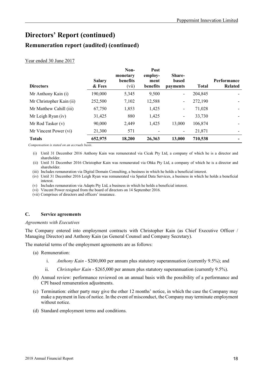# **Directors' Report (continued) Remuneration report (audited) (continued)**

| <b>Directors</b>         | <b>Salary</b><br>& Fees | Non-<br>monetary<br>benefits<br>(vii) | Post<br>employ-<br>ment<br>benefits | Share-<br><b>based</b><br>payments | <b>Total</b> | <b>Performance</b><br><b>Related</b> |
|--------------------------|-------------------------|---------------------------------------|-------------------------------------|------------------------------------|--------------|--------------------------------------|
| Mr Anthony Kain (i)      | 190,000                 | 5,345                                 | 9,500                               | $\qquad \qquad \blacksquare$       | 204,845      |                                      |
| Mr Christopher Kain (ii) | 252,500                 | 7,102                                 | 12,588                              | $\overline{\phantom{a}}$           | 272,190      |                                      |
| Mr Matthew Cahill (iii)  | 67,750                  | 1,853                                 | 1,425                               | $\overline{\phantom{a}}$           | 71,028       |                                      |
| Mr Leigh Ryan (iv)       | 31,425                  | 880                                   | 1,425                               | $\overline{\phantom{a}}$           | 33,730       |                                      |
| Mr Rod Tasker (v)        | 90,000                  | 2,449                                 | 1,425                               | 13,000                             | 106,874      |                                      |
| Mr Vincent Power (vi)    | 21,300                  | 571                                   |                                     | $\qquad \qquad \blacksquare$       | 21,871       |                                      |
| <b>Totals</b>            | 652,975                 | 18,200                                | 26,363                              | 13,000                             | 710,538      |                                      |

### Year ended 30 June 2017

*Compensation is stated on an accruals basis.*

- (i) Until 31 December 2016 Anthony Kain was remunerated via Cicak Pty Ltd, a company of which he is a director and shareholder.
- (ii) Until 31 December 2016 Christopher Kain was remunerated via Ohka Pty Ltd, a company of which he is a director and shareholder.
- (iii) Includes remuneration via Digital Domain Consulting, a business in which he holds a beneficial interest.
- (iv) Until 31 December 2016 Leigh Ryan was remunerated via Spatial Data Services, a business in which he holds a beneficial interest.
- (v) Includes remuneration via Adapts Pty Ltd, a business in which he holds a beneficial interest.
- (vi) Vincent Power resigned from the board of directors on 14 September 2016.
- (vii) Comprises of directors and officers' insurance.

### **C. Service agreements**

#### *Agreements with Executives*

The Company entered into employment contracts with Christopher Kain (as Chief Executive Officer / Managing Director) and Anthony Kain (as General Counsel and Company Secretary).

The material terms of the employment agreements are as follows:

(a) Remuneration:

- i. *Anthony Kain* \$200,000 per annum plus statutory superannuation (currently 9.5%); and
- ii. *Christopher Kain* \$265,000 per annum plus statutory superannuation (currently 9.5%).
- (b) Annual review: performance reviewed on an annual basis with the possibility of a performance and CPI based remuneration adjustments.
- (c) Termination: either party may give the other 12 months' notice, in which the case the Company may make a payment in lieu of notice. In the event of misconduct, the Company may terminate employment without notice.
- (d) Standard employment terms and conditions.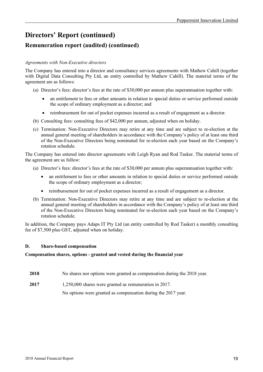# **Remuneration report (audited) (continued)**

# *Agreements with Non-Executive directors*

The Company has entered into a director and consultancy services agreements with Mathew Cahill (together with Digital Data Consulting Pty Ltd, an entity controlled by Mathew Cahill). The material terms of the agreement are as follows:

- (a) Director's fees: director's fees at the rate of \$30,000 per annum plus superannuation together with:
	- an entitlement to fees or other amounts in relation to special duties or service performed outside the scope of ordinary employment as a director; and
	- reimbursement for out of pocket expenses incurred as a result of engagement as a director.
- (b) Consulting fees: consulting fees of \$42,000 per annum, adjusted when on holiday.
- (c) Termination: Non-Executive Directors may retire at any time and are subject to re-election at the annual general meeting of shareholders in accordance with the Company's policy of at least one third of the Non-Executive Directors being nominated for re-election each year based on the Company's rotation schedule.

The Company has entered into director agreements with Leigh Ryan and Rod Tasker. The material terms of the agreement are as follow:

- (a) Director's fees: director's fees at the rate of \$30,000 per annum plus superannuation together with:
	- an entitlement to fees or other amounts in relation to special duties or service performed outside the scope of ordinary employment as a director;
	- reimbursement for out of pocket expenses incurred as a result of engagement as a director.
- (b) Termination: Non-Executive Directors may retire at any time and are subject to re-election at the annual general meeting of shareholders in accordance with the Company's policy of at least one third of the Non-Executive Directors being nominated for re-election each year based on the Company's rotation schedule.

In addition, the Company pays Adaps IT Pty Ltd (an entity controlled by Rod Tasker) a monthly consulting fee of \$7,500 plus GST, adjusted when on holiday.

# **D. Share-based compensation**

# **Compensation shares, options - granted and vested during the financial year**

- **2018** No shares nor options were granted as compensation during the 2018 year.
- **2017** 1,250,000 shares were granted as remuneration in 2017.

No options were granted as compensation during the 2017 year.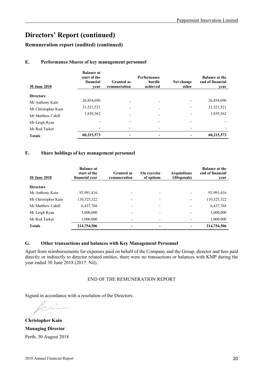# **Remuneration report (audited) (continued)**

### **E. Performance Shares of key management personnel**

| <b>30 June 2018</b> | <b>Balance at</b><br>start of the<br>financial<br>year | <b>Granted as</b><br>remuneration | Performance<br>hurdle<br>achieved | Net change<br>other | <b>Balance at the</b><br>end of financial<br>year |
|---------------------|--------------------------------------------------------|-----------------------------------|-----------------------------------|---------------------|---------------------------------------------------|
| <b>Directors</b>    |                                                        |                                   |                                   |                     |                                                   |
| Mr Anthony Kain     | 26,854,690                                             |                                   |                                   |                     | 26,854,690                                        |
| Mr Christopher Kain | 31,521,521                                             |                                   |                                   |                     | 31,521,521                                        |
| Mr Matthew Cahill   | 1,839,362                                              |                                   | -                                 | -                   | 1,839,362                                         |
| Mr Leigh Ryan       |                                                        |                                   |                                   |                     |                                                   |
| Mr Rod Tasker       |                                                        |                                   |                                   |                     |                                                   |
| <b>Totals</b>       | 60,215,573                                             |                                   |                                   |                     | 60,215,573                                        |

# **F. Share holdings of key management personnel**

| <b>30 June 2018</b> | <b>Balance at</b><br>start of the<br>financial year | <b>Granted</b> as<br>remuneration | On exercise<br>of options | <b>Acquisitions</b><br>/(Disposals) | <b>Balance at the</b><br>end of financial<br>year |
|---------------------|-----------------------------------------------------|-----------------------------------|---------------------------|-------------------------------------|---------------------------------------------------|
| <b>Directors</b>    |                                                     |                                   |                           |                                     |                                                   |
| Mr Anthony Kain     | 93,991,416                                          | $\overline{\phantom{a}}$          | -                         |                                     | 93,991,416                                        |
| Mr Christopher Kain | 110,325,322                                         | -                                 | -                         |                                     | 110,325,322                                       |
| Mr Matthew Cahill   | 6,437,768                                           | ۰                                 | $\overline{\phantom{0}}$  | ۰                                   | 6,437,768                                         |
| Mr Leigh Ryan       | 3,000,000                                           | ٠                                 | ٠                         |                                     | 3,000,000                                         |
| Mr Rod Tasker       | 1,000,000                                           | -                                 | -                         |                                     | 1,000,000                                         |
| <b>Totals</b>       | 214,754,506                                         | ۰                                 |                           |                                     | 214,754,506                                       |

### **G. Other transactions and balances with Key Management Personnel**

Apart from reimbursements for expenses paid on behalf of the Company and the Group, director and fees paid directly or indirectly to director related entities, there were no transactions or balances with KMP during the year ended 30 June 2018 (2017: Nil).

# END OF THE REMUNERATION REPORT

Signed in accordance with a resolution of the Directors:

**Christopher Kain Managing Director**  Perth, 30 August 2018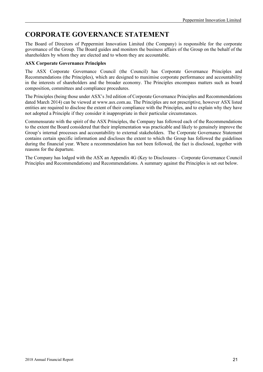# **CORPORATE GOVERNANCE STATEMENT**

The Board of Directors of Peppermint Innovation Limited (the Company) is responsible for the corporate governance of the Group. The Board guides and monitors the business affairs of the Group on the behalf of the shareholders by whom they are elected and to whom they are accountable.

# **ASX Corporate Governance Principles**

The ASX Corporate Governance Council (the Council) has Corporate Governance Principles and Recommendations (the Principles), which are designed to maximise corporate performance and accountability in the interests of shareholders and the broader economy. The Principles encompass matters such as board composition, committees and compliance procedures.

The Principles (being those under ASX's 3rd edition of Corporate Governance Principles and Recommendations dated March 2014) can be viewed at www.asx.com.au. The Principles are not prescriptive, however ASX listed entities are required to disclose the extent of their compliance with the Principles, and to explain why they have not adopted a Principle if they consider it inappropriate in their particular circumstances.

Commensurate with the spirit of the ASX Principles, the Company has followed each of the Recommendations to the extent the Board considered that their implementation was practicable and likely to genuinely improve the Group's internal processes and accountability to external stakeholders. The Corporate Governance Statement contains certain specific information and discloses the extent to which the Group has followed the guidelines during the financial year. Where a recommendation has not been followed, the fact is disclosed, together with reasons for the departure.

The Company has lodged with the ASX an Appendix 4G (Key to Disclosures – Corporate Governance Council Principles and Recommendations) and Recommendations. A summary against the Principles is set out below.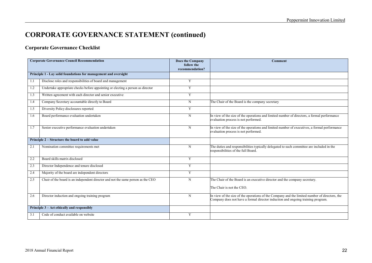# **Corporate Governance Checklist**

| <b>Corporate Governance Council Recommendation</b> |                                                                                  | <b>Does the Company</b><br>follow the<br>recommendation? | <b>Comment</b>                                                                                                                                                                   |
|----------------------------------------------------|----------------------------------------------------------------------------------|----------------------------------------------------------|----------------------------------------------------------------------------------------------------------------------------------------------------------------------------------|
|                                                    | Principle 1 - Lay solid foundations for management and oversight                 |                                                          |                                                                                                                                                                                  |
| 1.1                                                | Disclose roles and responsibilities of board and management                      | Y                                                        |                                                                                                                                                                                  |
| 1.2                                                | Undertake appropriate checks before appointing or electing a person as director  | Y                                                        |                                                                                                                                                                                  |
| 1.3                                                | Written agreement with each director and senior executive                        | Y                                                        |                                                                                                                                                                                  |
| 1.4                                                | Company Secretary accountable directly to Board                                  | N                                                        | The Chair of the Board is the company secretary                                                                                                                                  |
| 1.5                                                | Diversity Policy disclosures reported                                            | Y                                                        |                                                                                                                                                                                  |
| 1.6                                                | Board performance evaluation undertaken                                          | N                                                        | In view of the size of the operations and limited number of directors, a formal performance<br>evaluation process is not performed.                                              |
| 1.7                                                | Senior executive performance evaluation undertaken                               | N                                                        | In view of the size of the operations and limited number of executives, a formal performance<br>evaluation process is not performed.                                             |
|                                                    | Principle 2 – Structure the board to add value                                   |                                                          |                                                                                                                                                                                  |
| 2.1                                                | Nomination committee requirements met                                            | N                                                        | The duties and responsibilities typically delegated to such committee are included in the<br>responsibilities of the full Board.                                                 |
| 2.2                                                | Board skills matrix disclosed                                                    | Y                                                        |                                                                                                                                                                                  |
| 2.3                                                | Director Independence and tenure disclosed                                       | Y                                                        |                                                                                                                                                                                  |
| 2.4                                                | Majority of the board are independent directors                                  | Y                                                        |                                                                                                                                                                                  |
| 2.5                                                | Chair of the board is an independent director and not the same person as the CEO | N                                                        | The Chair of the Board is an executive director and the company secretary.                                                                                                       |
|                                                    |                                                                                  |                                                          | The Chair is not the CEO.                                                                                                                                                        |
| 2.6                                                | Director induction and ongoing training program                                  | N                                                        | In view of the size of the operations of the Company and the limited number of directors, the<br>Company does not have a formal director induction and ongoing training program. |
|                                                    | Principle 3 – Act ethically and responsibly                                      |                                                          |                                                                                                                                                                                  |
| 3.1                                                | Code of conduct available on website                                             | Y                                                        |                                                                                                                                                                                  |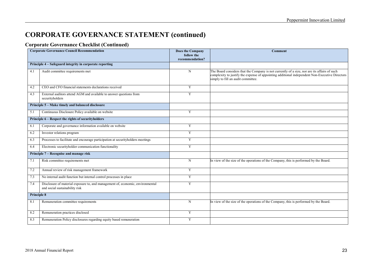# **Corporate Governance Checklist (Continued)**

|                    | <b>Corporate Governance Council Recommendation</b>                                                               | Does the Company<br>follow the<br>recommendation? | <b>Comment</b>                                                                                                                                                                                                                       |
|--------------------|------------------------------------------------------------------------------------------------------------------|---------------------------------------------------|--------------------------------------------------------------------------------------------------------------------------------------------------------------------------------------------------------------------------------------|
|                    | Principle 4 – Safeguard integrity in corporate reporting                                                         |                                                   |                                                                                                                                                                                                                                      |
| 4.1                | Audit committee requirements met                                                                                 | N                                                 | The Board considers that the Company is not currently of a size, nor are its affairs of such<br>complexity to justify the expense of appointing additional independent Non-Executive Directors<br>simply to fill an audit committee. |
| 4.2                | CEO and CFO financial statements declarations received                                                           | Y                                                 |                                                                                                                                                                                                                                      |
| 4.3                | External auditors attend AGM and available to answer questions from<br>securityholders                           | Y                                                 |                                                                                                                                                                                                                                      |
|                    | Principle 5 - Make timely and balanced disclosure                                                                |                                                   |                                                                                                                                                                                                                                      |
| 5.1                | Continuous Disclosure Policy available on website                                                                | Y                                                 |                                                                                                                                                                                                                                      |
|                    | Principle 6 – Respect the rights of securityholders                                                              |                                                   |                                                                                                                                                                                                                                      |
| 6.1                | Corporate and governance information available on website                                                        | Y                                                 |                                                                                                                                                                                                                                      |
| 6.2                | Investor relations program                                                                                       | Y                                                 |                                                                                                                                                                                                                                      |
| 6.3                | Processes to facilitate and encourage participation at securityholders meetings                                  | Y                                                 |                                                                                                                                                                                                                                      |
| 6.4                | Electronic securityholder communication functionality                                                            | Y                                                 |                                                                                                                                                                                                                                      |
|                    | Principle 7 – Recognise and manage risk                                                                          |                                                   |                                                                                                                                                                                                                                      |
| 7.1                | Risk committee requirements met                                                                                  | N                                                 | In view of the size of the operations of the Company, this is performed by the Board.                                                                                                                                                |
| 7.2                | Annual review of risk management framework                                                                       | Y                                                 |                                                                                                                                                                                                                                      |
| 7.3                | No internal audit function but internal control processes in place                                               | Y                                                 |                                                                                                                                                                                                                                      |
| 7.4                | Disclosure of material exposure to, and management of, economic, environmental<br>and social sustainability risk | Y                                                 |                                                                                                                                                                                                                                      |
| <b>Principle 8</b> |                                                                                                                  |                                                   |                                                                                                                                                                                                                                      |
| 8.1                | Remuneration committee requirements                                                                              | $\mathbf N$                                       | In view of the size of the operations of the Company, this is performed by the Board.                                                                                                                                                |
| 8.2                | Remuneration practices disclosed                                                                                 | Y                                                 |                                                                                                                                                                                                                                      |
| 8.3                | Remuneration Policy disclosures regarding equity based remuneration                                              | Y                                                 |                                                                                                                                                                                                                                      |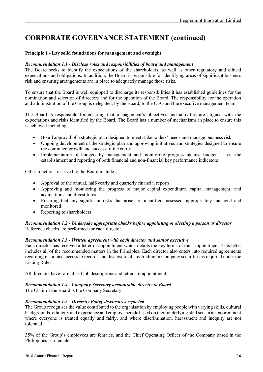### **Principle 1 - Lay solid foundations for management and oversight**

### *Recommendation 1.1 - Disclose roles and responsibilities of board and management*

The Board seeks to identify the expectations of the shareholders, as well as other regulatory and ethical expectations and obligations. In addition, the Board is responsible for identifying areas of significant business risk and ensuring arrangements are in place to adequately manage those risks.

To ensure that the Board is well equipped to discharge its responsibilities it has established guidelines for the nomination and selection of directors and for the operation of the Board. The responsibility for the operation and administration of the Group is delegated, by the Board, to the CEO and the executive management team.

The Board is responsible for ensuring that management's objectives and activities are aligned with the expectations and risks identified by the Board. The Board has a number of mechanisms in place to ensure this is achieved including:

- Board approval of a strategic plan designed to meet stakeholders' needs and manage business risk
- Ongoing development of the strategic plan and approving initiatives and strategies designed to ensure the continued growth and success of the entity
- Implementation of budgets by management and monitoring progress against budget **—** via the establishment and reporting of both financial and non-financial key performance indicators

Other functions reserved to the Board include:

- Approval of the annual, half-yearly and quarterly financial reports
- Approving and monitoring the progress of major capital expenditure, capital management, and acquisitions and divestitures
- Ensuring that any significant risks that arise are identified, assessed, appropriately managed and monitored
- Reporting to shareholders

# *Recommendation 1.2 - Undertake appropriate checks before appointing or electing a person as director* Reference checks are performed for each director.

# *Recommendation 1.3 - Written agreement with each director and senior executive*

Each director has received a letter of appointment which details the key terms of their appointment. This letter includes all of the recommended matters in the Principles. Each director also enters into required agreements regarding insurance, access to records and disclosure of any trading in Company securities as required under the Listing Rules.

All directors have formalised job descriptions and letters of appointment.

### *Recommendation 1.4 - Company Secretary accountable directly to Board*

The Chair of the Board is the Company Secretary.

# *Recommendation 1.5 - Diversity Policy disclosures reported*

The Group recognises the value contributed to the organisation by employing people with varying skills, cultural backgrounds, ethnicity and experience and employs people based on their underlying skill sets in an environment where everyone is treated equally and fairly, and where discrimination, harassment and inequity are not tolerated.

35% of the Group's employees are females, and the Chief Operating Officer of the Company based in the Philippines is a female.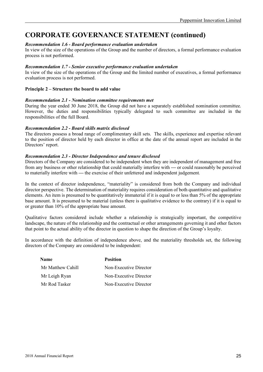# *Recommendation 1.6 - Board performance evaluation undertaken*

In view of the size of the operations of the Group and the number of directors, a formal performance evaluation process is not performed.

# *Recommendation 1.7 - Senior executive performance evaluation undertaken*

In view of the size of the operations of the Group and the limited number of executives, a formal performance evaluation process is not performed.

# **Principle 2 – Structure the board to add value**

### *Recommendation 2.1 - Nomination committee requirements met*

During the year ended 30 June 2018, the Group did not have a separately established nomination committee. However, the duties and responsibilities typically delegated to such committee are included in the responsibilities of the full Board.

# *Recommendation 2.2 - Board skills matrix disclosed*

The directors possess a broad range of complimentary skill sets. The skills, experience and expertise relevant to the position of director held by each director in office at the date of the annual report are included in the Directors' report.

# *Recommendation 2.3 - Director Independence and tenure disclosed*

Directors of the Company are considered to be independent when they are independent of management and free from any business or other relationship that could materially interfere with **—** or could reasonably be perceived to materially interfere with **—** the exercise of their unfettered and independent judgement*.* 

In the context of director independence, "materiality" is considered from both the Company and individual director perspective. The determination of materiality requires consideration of both quantitative and qualitative elements. An item is presumed to be quantitatively immaterial if it is equal to or less than 5% of the appropriate base amount. It is presumed to be material (unless there is qualitative evidence to the contrary) if it is equal to or greater than 10% of the appropriate base amount.

Qualitative factors considered include whether a relationship is strategically important, the competitive landscape, the nature of the relationship and the contractual or other arrangements governing it and other factors that point to the actual ability of the director in question to shape the direction of the Group's loyalty.

In accordance with the definition of independence above, and the materiality thresholds set, the following directors of the Company are considered to be independent:

| <b>Name</b>       | <b>Position</b>        |
|-------------------|------------------------|
| Mr Matthew Cahill | Non-Executive Director |
| Mr Leigh Ryan     | Non-Executive Director |
| Mr Rod Tasker     | Non-Executive Director |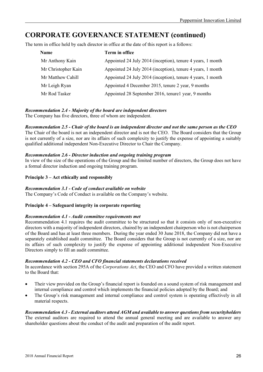The term in office held by each director in office at the date of this report is a follows:

| Name                | Term in office                                              |
|---------------------|-------------------------------------------------------------|
| Mr Anthony Kain     | Appointed 24 July 2014 (inception), tenure 4 years, 1 month |
| Mr Christopher Kain | Appointed 24 July 2014 (inception), tenure 4 years, 1 month |
| Mr Matthew Cahill   | Appointed 24 July 2014 (inception), tenure 4 years, 1 month |
| Mr Leigh Ryan       | Appointed 4 December 2015, tenure 2 year, 9 months          |
| Mr Rod Tasker       | Appointed 28 September 2016, tenure1 year, 9 months         |

# *Recommendation 2.4 - Majority of the board are independent directors*

The Company has five directors, three of whom are independent.

# *Recommendation 2.5 - Chair of the board is an independent director and not the same person as the CEO*

The Chair of the board is not an independent director and is not the CEO. The Board considers that the Group is not currently of a size, nor are its affairs of such complexity to justify the expense of appointing a suitably qualified additional independent Non-Executive Director to Chair the Company.

# *Recommendation 2.6 - Director induction and ongoing training program*

In view of the size of the operations of the Group and the limited number of directors, the Group does not have a formal director induction and ongoing training program.

# **Principle 3 – Act ethically and responsibly**

# *Recommendation 3.1 - Code of conduct available on website*

The Company's Code of Conduct is available on the Company's website.

# **Principle 4 – Safeguard integrity in corporate reporting**

# *Recommendation 4.1 - Audit committee requirements met*

Recommendation 4.1 requires the audit committee to be structured so that it consists only of non-executive directors with a majority of independent directors, chaired by an independent chairperson who is not chairperson of the Board and has at least three members. During the year ended 30 June 2018, the Company did not have a separately established audit committee. The Board considers that the Group is not currently of a size, nor are its affairs of such complexity to justify the expense of appointing additional independent Non-Executive Directors simply to fill an audit committee.

# *Recommendation 4.2 - CEO and CFO financial statements declarations received*

In accordance with section 295A of the *Corporations Act*, the CEO and CFO have provided a written statement to the Board that:

- Their view provided on the Group's financial report is founded on a sound system of risk management and internal compliance and control which implements the financial policies adopted by the Board; and
- The Group's risk management and internal compliance and control system is operating effectively in all material respects.

### *Recommendation 4.3 - External auditors attend AGM and available to answer questions from securityholders* The external auditors are required to attend the annual general meeting and are available to answer any shareholder questions about the conduct of the audit and preparation of the audit report.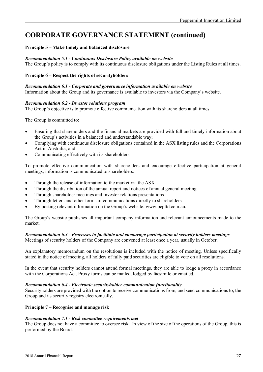# **Principle 5 – Make timely and balanced disclosure**

### *Recommendation 5.1 - Continuous Disclosure Policy available on website*

The Group's policy is to comply with its continuous disclosure obligations under the Listing Rules at all times.

# **Principle 6 – Respect the rights of securityholders**

### *Recommendation 6.1 - Corporate and governance information available on website*

Information about the Group and its governance is available to investors via the Company's website.

### *Recommendation 6.2 - Investor relations program*

The Group's objective is to promote effective communication with its shareholders at all times.

The Group is committed to:

- Ensuring that shareholders and the financial markets are provided with full and timely information about the Group's activities in a balanced and understandable way;
- Complying with continuous disclosure obligations contained in the ASX listing rules and the Corporations Act in Australia; and
- Communicating effectively with its shareholders.

To promote effective communication with shareholders and encourage effective participation at general meetings, information is communicated to shareholders:

- Through the release of information to the market via the ASX
- Through the distribution of the annual report and notices of annual general meeting
- Through shareholder meetings and investor relations presentations
- Through letters and other forms of communications directly to shareholders
- By posting relevant information on the Group's website: www.pepltd.com.au.

The Group's website publishes all important company information and relevant announcements made to the market.

# *Recommendation 6.3 - Processes to facilitate and encourage participation at security holders meetings*

Meetings of security holders of the Company are convened at least once a year, usually in October.

An explanatory memorandum on the resolutions is included with the notice of meeting. Unless specifically stated in the notice of meeting, all holders of fully paid securities are eligible to vote on all resolutions.

In the event that security holders cannot attend formal meetings, they are able to lodge a proxy in accordance with the Corporations Act. Proxy forms can be mailed, lodged by facsimile or emailed.

### *Recommendation 6.4 - Electronic securityholder communication functionality*

Securityholders are provided with the option to receive communications from, and send communications to, the Group and its security registry electronically.

### **Principle 7 – Recognise and manage risk**

### *Recommendation 7.1 - Risk committee requirements met*

The Group does not have a committee to oversee risk. In view of the size of the operations of the Group, this is performed by the Board.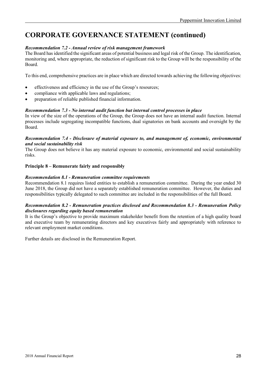# *Recommendation 7.2 - Annual review of risk management framework*

The Board has identified the significant areas of potential business and legal risk of the Group. The identification, monitoring and, where appropriate, the reduction of significant risk to the Group will be the responsibility of the Board.

To this end, comprehensive practices are in place which are directed towards achieving the following objectives:

- effectiveness and efficiency in the use of the Group's resources;
- compliance with applicable laws and regulations;
- preparation of reliable published financial information.

### *Recommendation 7.3 - No internal audit function but internal control processes in place*

In view of the size of the operations of the Group, the Group does not have an internal audit function. Internal processes include segregating incompatible functions, dual signatories on bank accounts and oversight by the Board.

### *Recommendation 7.4 - Disclosure of material exposure to, and management of, economic, environmental and social sustainability risk*

The Group does not believe it has any material exposure to economic, environmental and social sustainability risks.

# **Principle 8 – Remunerate fairly and responsibly**

### *Recommendation 8.1 - Remuneration committee requirements*

Recommendation 8.1 requires listed entities to establish a remuneration committee. During the year ended 30 June 2018, the Group did not have a separately established remuneration committee. However, the duties and responsibilities typically delegated to such committee are included in the responsibilities of the full Board.

### *Recommendation 8.2 - Remuneration practices disclosed and Recommendation 8.3 - Remuneration Policy disclosures regarding equity based remuneration*

It is the Group's objective to provide maximum stakeholder benefit from the retention of a high quality board and executive team by remunerating directors and key executives fairly and appropriately with reference to relevant employment market conditions.

Further details are disclosed in the Remuneration Report.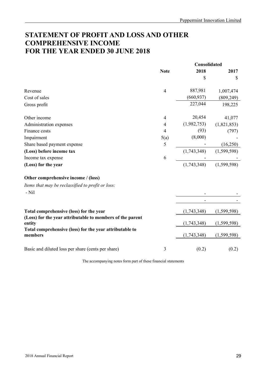# **STATEMENT OF PROFIT AND LOSS AND OTHER COMPREHENSIVE INCOME FOR THE YEAR ENDED 30 JUNE 2018**

|                                                                     |                | Consolidated |               |  |
|---------------------------------------------------------------------|----------------|--------------|---------------|--|
|                                                                     | <b>Note</b>    | 2018         | 2017          |  |
|                                                                     |                | \$           | \$            |  |
| Revenue                                                             | $\overline{4}$ | 887,981      | 1,007,474     |  |
| Cost of sales                                                       |                | (660, 937)   | (809, 249)    |  |
| Gross profit                                                        |                | 227,044      | 198,225       |  |
| Other income                                                        | 4              | 20,454       | 41,077        |  |
| Administration expenses                                             | 4              | (1,982,753)  | (1,821,853)   |  |
| Finance costs                                                       | $\overline{4}$ | (93)         | (797)         |  |
| Impairment                                                          | 5(a)           | (8,000)      |               |  |
| Share based payment expense                                         | 5              |              | (16,250)      |  |
| (Loss) before income tax                                            |                | (1,743,348)  | (1, 599, 598) |  |
| Income tax expense                                                  | 6              |              |               |  |
| (Loss) for the year                                                 |                | (1,743,348)  | (1,599,598)   |  |
| Other comprehensive income / (loss)                                 |                |              |               |  |
| Items that may be reclassified to profit or loss:                   |                |              |               |  |
| - Nil                                                               |                |              |               |  |
|                                                                     |                |              |               |  |
| Total comprehensive (loss) for the year                             |                | (1,743,348)  | (1, 599, 598) |  |
| (Loss) for the year attributable to members of the parent<br>entity |                | (1,743,348)  | (1, 599, 598) |  |
| Total comprehensive (loss) for the year attributable to<br>members  |                | (1,743,348)  | (1, 599, 598) |  |
| Basic and diluted loss per share (cents per share)                  | 3              | (0.2)        | (0.2)         |  |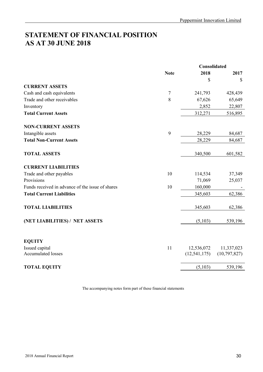# **STATEMENT OF FINANCIAL POSITION AS AT 30 JUNE 2018**

|                                                  |                | Consolidated   |                |
|--------------------------------------------------|----------------|----------------|----------------|
|                                                  | <b>Note</b>    | 2018           | 2017           |
|                                                  |                | \$             | $\mathbb{S}$   |
| <b>CURRENT ASSETS</b>                            |                |                |                |
| Cash and cash equivalents                        | $\overline{7}$ | 241,793        | 428,439        |
| Trade and other receivables                      | 8              | 67,626         | 65,649         |
| Inventory                                        |                | 2,852          | 22,807         |
| <b>Total Current Assets</b>                      |                | 312,271        | 516,895        |
| <b>NON-CURRENT ASSETS</b>                        |                |                |                |
| Intangible assets                                | 9              | 28,229         | 84,687         |
| <b>Total Non-Current Assets</b>                  |                | 28,229         | 84,687         |
| <b>TOTAL ASSETS</b>                              |                | 340,500        | 601,582        |
| <b>CURRENT LIABILITIES</b>                       |                |                |                |
| Trade and other payables                         | 10             | 114,534        | 37,349         |
| Provisions                                       |                | 71,069         | 25,037         |
| Funds received in advance of the issue of shares | 10             | 160,000        |                |
| <b>Total Current Liabilities</b>                 |                | 345,603        | 62,386         |
| <b>TOTAL LIABILITIES</b>                         |                | 345,603        | 62,386         |
| (NET LIABILITIES) / NET ASSETS                   |                | (5,103)        | 539,196        |
|                                                  |                |                |                |
| <b>EQUITY</b>                                    |                |                |                |
| Issued capital                                   | 11             | 12,536,072     | 11,337,023     |
| <b>Accumulated losses</b>                        |                | (12, 541, 175) | (10, 797, 827) |
| <b>TOTAL EQUITY</b>                              |                | (5,103)        | 539,196        |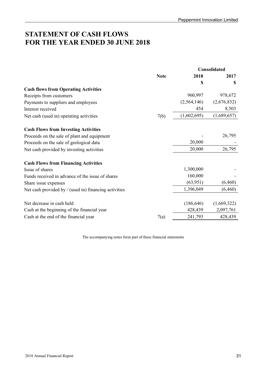# **STATEMENT OF CASH FLOWS FOR THE YEAR ENDED 30 JUNE 2018**

|                                                         |             |               | Consolidated |  |
|---------------------------------------------------------|-------------|---------------|--------------|--|
|                                                         | <b>Note</b> | 2018          | 2017         |  |
|                                                         |             | S             | \$           |  |
| <b>Cash flows from Operating Activities</b>             |             |               |              |  |
| Receipts from customers                                 |             | 960,997       | 978,672      |  |
| Payments to suppliers and employees                     |             | (2, 564, 146) | (2,676,832)  |  |
| Interest received                                       |             | 454           | 8,503        |  |
| Net cash (used in) operating activities                 | 7(b)        | (1,602,695)   | (1,689,657)  |  |
| <b>Cash Flows from Investing Activities</b>             |             |               |              |  |
| Proceeds on the sale of plant and equipment             |             |               | 26,795       |  |
| Proceeds on the sale of geological data                 |             | 20,000        |              |  |
| Net cash provided by investing activities               |             | 20,000        | 26,795       |  |
| <b>Cash Flows from Financing Activities</b>             |             |               |              |  |
| Issue of shares                                         |             | 1,300,000     |              |  |
| Funds received in advance of the issue of shares        |             | 160,000       |              |  |
| Share issue expenses                                    |             | (63, 951)     | (6,460)      |  |
| Net cash provided by $/$ (used in) financing activities |             | 1,396,049     | (6, 460)     |  |
| Net decrease in cash held                               |             | (186, 646)    | (1,669,322)  |  |
| Cash at the beginning of the financial year             |             | 428,439       | 2,097,761    |  |
| Cash at the end of the financial year                   | 7(a)        | 241,793       | 428,439      |  |
|                                                         |             |               |              |  |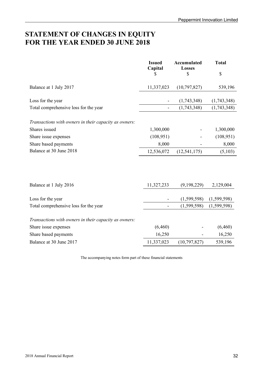# **STATEMENT OF CHANGES IN EQUITY FOR THE YEAR ENDED 30 JUNE 2018**

|                                                       | <b>Issued</b><br>Capital | Accumulated<br><b>Losses</b> | <b>Total</b>  |
|-------------------------------------------------------|--------------------------|------------------------------|---------------|
|                                                       | \$                       | \$                           | \$            |
| Balance at 1 July 2017                                | 11,337,023               | (10, 797, 827)               | 539,196       |
| Loss for the year                                     |                          | (1,743,348)                  | (1,743,348)   |
| Total comprehensive loss for the year                 |                          | (1,743,348)                  | (1,743,348)   |
| Transactions with owners in their capacity as owners: |                          |                              |               |
| Shares issued                                         | 1,300,000                |                              | 1,300,000     |
| Share issue expenses                                  | (108, 951)               |                              | (108, 951)    |
| Share based payments                                  | 8,000                    |                              | 8,000         |
| Balance at 30 June 2018                               | 12,536,072               | (12, 541, 175)               | (5,103)       |
|                                                       |                          |                              |               |
| Balance at 1 July 2016                                | 11,327,233               | (9,198,229)                  | 2,129,004     |
| Loss for the year                                     |                          | (1, 599, 598)                | (1,599,598)   |
| Total comprehensive loss for the year                 | $\overline{\phantom{0}}$ | (1, 599, 598)                | (1, 599, 598) |
| Transactions with owners in their capacity as owners: |                          |                              |               |
| Share issue expenses                                  | (6, 460)                 |                              | (6, 460)      |
| Share based payments                                  | 16,250                   |                              | 16,250        |
| Balance at 30 June 2017                               | 11,337,023               | (10,797,827)                 | 539,196       |
|                                                       |                          |                              |               |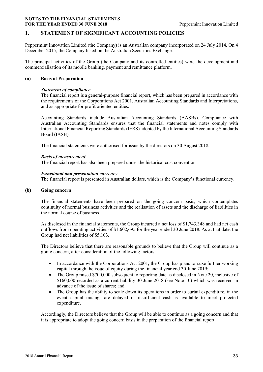# **1. STATEMENT OF SIGNIFICANT ACCOUNTING POLICIES**

Peppermint Innovation Limited (the Company) is an Australian company incorporated on 24 July 2014. On 4 December 2015, the Company listed on the Australian Securities Exchange.

The principal activities of the Group (the Company and its controlled entities) were the development and commercialisation of its mobile banking, payment and remittance platform.

### **(a) Basis of Preparation**

### *Statement of compliance*

The financial report is a general-purpose financial report, which has been prepared in accordance with the requirements of the Corporations Act 2001, Australian Accounting Standards and Interpretations, and as appropriate for profit oriented entities.

Accounting Standards include Australian Accounting Standards (AASBs). Compliance with Australian Accounting Standards ensures that the financial statements and notes comply with International Financial Reporting Standards (IFRS) adopted by the International Accounting Standards Board (IASB).

The financial statements were authorised for issue by the directors on 30 August 2018.

### *Basis of measurement*

The financial report has also been prepared under the historical cost convention.

### *Functional and presentation currency*

The financial report is presented in Australian dollars, which is the Company's functional currency.

#### **(b) Going concern**

The financial statements have been prepared on the going concern basis, which contemplates continuity of normal business activities and the realisation of assets and the discharge of liabilities in the normal course of business.

As disclosed in the financial statements, the Group incurred a net loss of \$1,743,348 and had net cash outflows from operating activities of \$1,602,695 for the year ended 30 June 2018. As at that date, the Group had net liabilities of \$5,103.

The Directors believe that there are reasonable grounds to believe that the Group will continue as a going concern, after consideration of the following factors:

- In accordance with the Corporations Act 2001, the Group has plans to raise further working capital through the issue of equity during the financial year end 30 June 2019;
- The Group raised \$700,000 subsequent to reporting date as disclosed in Note 20, inclusive of \$160,000 recorded as a current liability 30 June 2018 (see Note 10) which was received in advance of the issue of shares; and
- The Group has the ability to scale down its operations in order to curtail expenditure, in the event capital raisings are delayed or insufficient cash is available to meet projected expenditure.

Accordingly, the Directors believe that the Group will be able to continue as a going concern and that it is appropriate to adopt the going concern basis in the preparation of the financial report.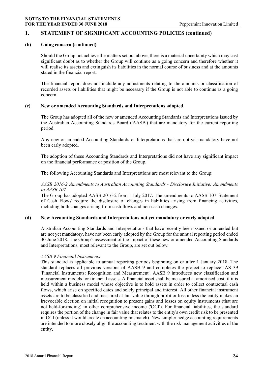### **(b) Going concern (continued)**

Should the Group not achieve the matters set out above, there is a material uncertainty which may cast significant doubt as to whether the Group will continue as a going concern and therefore whether it will realise its assets and extinguish its liabilities in the normal course of business and at the amounts stated in the financial report.

The financial report does not include any adjustments relating to the amounts or classification of recorded assets or liabilities that might be necessary if the Group is not able to continue as a going concern.

### **(c) New or amended Accounting Standards and Interpretations adopted**

The Group has adopted all of the new or amended Accounting Standards and Interpretations issued by the Australian Accounting Standards Board ('AASB') that are mandatory for the current reporting period.

Any new or amended Accounting Standards or Interpretations that are not yet mandatory have not been early adopted.

The adoption of these Accounting Standards and Interpretations did not have any significant impact on the financial performance or position of the Group.

The following Accounting Standards and Interpretations are most relevant to the Group:

### *AASB 2016-2 Amendments to Australian Accounting Standards - Disclosure Initiative: Amendments to AASB 107*

The Group has adopted AASB 2016-2 from 1 July 2017. The amendments to AASB 107 'Statement of Cash Flows' require the disclosure of changes in liabilities arising from financing activities, including both changes arising from cash flows and non-cash changes.

### **(d) New Accounting Standards and Interpretations not yet mandatory or early adopted**

Australian Accounting Standards and Interpretations that have recently been issued or amended but are not yet mandatory, have not been early adopted by the Group for the annual reporting period ended 30 June 2018. The Group's assessment of the impact of these new or amended Accounting Standards and Interpretations, most relevant to the Group, are set out below.

### *AASB 9 Financial Instruments*

This standard is applicable to annual reporting periods beginning on or after 1 January 2018. The standard replaces all previous versions of AASB 9 and completes the project to replace IAS 39 'Financial Instruments: Recognition and Measurement'. AASB 9 introduces new classification and measurement models for financial assets. A financial asset shall be measured at amortised cost, if it is held within a business model whose objective is to hold assets in order to collect contractual cash flows, which arise on specified dates and solely principal and interest. All other financial instrument assets are to be classified and measured at fair value through profit or loss unless the entity makes an irrevocable election on initial recognition to present gains and losses on equity instruments (that are not held-for-trading) in other comprehensive income ('OCI'). For financial liabilities, the standard requires the portion of the change in fair value that relates to the entity's own credit risk to be presented in OCI (unless it would create an accounting mismatch). New simpler hedge accounting requirements are intended to more closely align the accounting treatment with the risk management activities of the entity.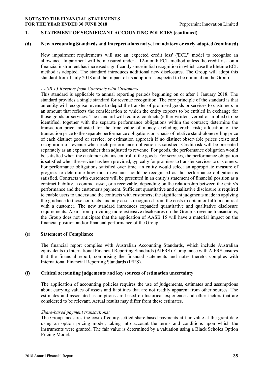### **NOTES TO THE FINANCIAL STATEMENTS FOR THE YEAR ENDED 30 JUNE 2018** Peppermint Innovation Limited

### **1. STATEMENT OF SIGNIFICANT ACCOUNTING POLICIES (continued)**

### **(d) New Accounting Standards and Interpretations not yet mandatory or early adopted (continued)**

New impairment requirements will use an 'expected credit loss' ('ECL') model to recognise an allowance. Impairment will be measured under a 12-month ECL method unless the credit risk on a financial instrument has increased significantly since initial recognition in which case the lifetime ECL method is adopted. The standard introduces additional new disclosures. The Group will adopt this standard from 1 July 2018 and the impact of its adoption is expected to be minimal on the Group.

### *AASB 15 Revenue from Contracts with Customers*

This standard is applicable to annual reporting periods beginning on or after 1 January 2018. The standard provides a single standard for revenue recognition. The core principle of the standard is that an entity will recognise revenue to depict the transfer of promised goods or services to customers in an amount that reflects the consideration to which the entity expects to be entitled in exchange for those goods or services. The standard will require: contracts (either written, verbal or implied) to be identified, together with the separate performance obligations within the contract; determine the transaction price, adjusted for the time value of money excluding credit risk; allocation of the transaction price to the separate performance obligations on a basis of relative stand-alone selling price of each distinct good or service, or estimation approach if no distinct observable prices exist; and recognition of revenue when each performance obligation is satisfied. Credit risk will be presented separately as an expense rather than adjusted to revenue. For goods, the performance obligation would be satisfied when the customer obtains control of the goods. For services, the performance obligation is satisfied when the service has been provided, typically for promises to transfer services to customers. For performance obligations satisfied over time, an entity would select an appropriate measure of progress to determine how much revenue should be recognised as the performance obligation is satisfied. Contracts with customers will be presented in an entity's statement of financial position as a contract liability, a contract asset, or a receivable, depending on the relationship between the entity's performance and the customer's payment. Sufficient quantitative and qualitative disclosure is required to enable users to understand the contracts with customers; the significant judgments made in applying the guidance to those contracts; and any assets recognised from the costs to obtain or fulfil a contract with a customer. The new standard introduces expanded quantitative and qualitative disclosure requirements. Apart from providing more extensive disclosures on the Group's revenue transactions, the Group does not anticipate that the application of AASB 15 will have a material impact on the financial position and/or financial performance of the Group.

### **(e) Statement of Compliance**

The financial report complies with Australian Accounting Standards, which include Australian equivalents to International Financial Reporting Standards (AIFRS). Compliance with AIFRS ensures that the financial report, comprising the financial statements and notes thereto, complies with International Financial Reporting Standards (IFRS).

### **(f) Critical accounting judgements and key sources of estimation uncertainty**

The application of accounting policies requires the use of judgements, estimates and assumptions about carrying values of assets and liabilities that are not readily apparent from other sources. The estimates and associated assumptions are based on historical experience and other factors that are considered to be relevant. Actual results may differ from these estimates.

#### *Share-based payment transactions:*

The Group measures the cost of equity-settled share-based payments at fair value at the grant date using an option pricing model, taking into account the terms and conditions upon which the instruments were granted. The fair value is determined by a valuation using a Black Scholes Option Pricing Model.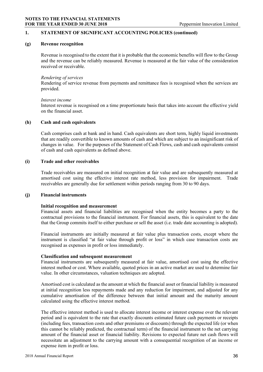### **NOTES TO THE FINANCIAL STATEMENTS FOR THE YEAR ENDED 30 JUNE 2018** Peppermint Innovation Limited

### **1. STATEMENT OF SIGNIFICANT ACCOUNTING POLICIES (continued)**

### **(g) Revenue recognition**

Revenue is recognised to the extent that it is probable that the economic benefits will flow to the Group and the revenue can be reliably measured. Revenue is measured at the fair value of the consideration received or receivable.

### *Rendering of services*

Rendering of service revenue from payments and remittance fees is recognised when the services are provided.

### *Interest income*

Interest revenue is recognised on a time proportionate basis that takes into account the effective yield on the financial asset.

### **(h) Cash and cash equivalents**

Cash comprises cash at bank and in hand. Cash equivalents are short term, highly liquid investments that are readily convertible to known amounts of cash and which are subject to an insignificant risk of changes in value. For the purposes of the Statement of Cash Flows, cash and cash equivalents consist of cash and cash equivalents as defined above.

### **(i) Trade and other receivables**

Trade receivables are measured on initial recognition at fair value and are subsequently measured at amortised cost using the effective interest rate method, less provision for impairment. Trade receivables are generally due for settlement within periods ranging from 30 to 90 days.

#### **(j) Financial instruments**

### **Initial recognition and measurement**

Financial assets and financial liabilities are recognised when the entity becomes a party to the contractual provisions to the financial instrument. For financial assets, this is equivalent to the date that the Group commits itself to either purchase or sell the asset (i.e. trade date accounting is adopted).

Financial instruments are initially measured at fair value plus transaction costs, except where the instrument is classified "at fair value through profit or loss" in which case transaction costs are recognised as expenses in profit or loss immediately.

### **Classification and subsequent measurement**

Financial instruments are subsequently measured at fair value, amortised cost using the effective interest method or cost. Where available, quoted prices in an active market are used to determine fair value. In other circumstances, valuation techniques are adopted.

Amortised cost is calculated as the amount at which the financial asset or financial liability is measured at initial recognition less repayments made and any reduction for impairment, and adjusted for any cumulative amortisation of the difference between that initial amount and the maturity amount calculated using the effective interest method.

The effective interest method is used to allocate interest income or interest expense over the relevant period and is equivalent to the rate that exactly discounts estimated future cash payments or receipts (including fees, transaction costs and other premiums or discounts) through the expected life (or when this cannot be reliably predicted, the contractual term) of the financial instrument to the net carrying amount of the financial asset or financial liability. Revisions to expected future net cash flows will necessitate an adjustment to the carrying amount with a consequential recognition of an income or expense item in profit or loss.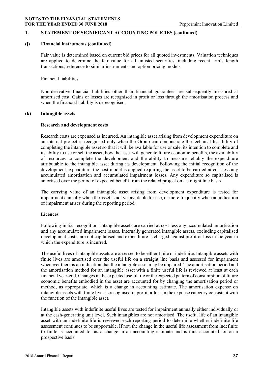### **(j) Financial instruments (continued)**

Fair value is determined based on current bid prices for all quoted investments. Valuation techniques are applied to determine the fair value for all unlisted securities, including recent arm's length transactions, reference to similar instruments and option pricing models.

### Financial liabilities

Non-derivative financial liabilities other than financial guarantees are subsequently measured at amortised cost. Gains or losses are recognised in profit or loss through the amortisation process and when the financial liability is derecognised.

### **(k) Intangible assets**

### **Research and development costs**

Research costs are expensed as incurred. An intangible asset arising from development expenditure on an internal project is recognised only when the Group can demonstrate the technical feasibility of completing the intangible asset so that it will be available for use or sale, its intention to complete and its ability to use or sell the asset, how the asset will generate future economic benefits, the availability of resources to complete the development and the ability to measure reliably the expenditure attributable to the intangible asset during its development. Following the initial recognition of the development expenditure, the cost model is applied requiring the asset to be carried at cost less any accumulated amortisation and accumulated impairment losses. Any expenditure so capitalised is amortised over the period of expected benefit from the related project on a straight line basis.

The carrying value of an intangible asset arising from development expenditure is tested for impairment annually when the asset is not yet available for use, or more frequently when an indication of impairment arises during the reporting period.

#### **Licences**

Following initial recognition, intangible assets are carried at cost less any accumulated amortisation and any accumulated impairment losses. Internally generated intangible assets, excluding capitalised development costs, are not capitalised and expenditure is charged against profit or loss in the year in which the expenditure is incurred.

The useful lives of intangible assets are assessed to be either finite or indefinite. Intangible assets with finite lives are amortised over the useful life on a straight line basis and assessed for impairment whenever there is an indication that the intangible asset may be impaired. The amortisation period and the amortisation method for an intangible asset with a finite useful life is reviewed at least at each financial year-end. Changes in the expected useful life or the expected pattern of consumption of future economic benefits embodied in the asset are accounted for by changing the amortisation period or method, as appropriate, which is a change in accounting estimate. The amortisation expense on intangible assets with finite lives is recognised in profit or loss in the expense category consistent with the function of the intangible asset.

Intangible assets with indefinite useful lives are tested for impairment annually either individually or at the cash-generating unit level. Such intangibles are not amortised. The useful life of an intangible asset with an indefinite life is reviewed each reporting period to determine whether indefinite life assessment continues to be supportable. If not, the change in the useful life assessment from indefinite to finite is accounted for as a change in an accounting estimate and is thus accounted for on a prospective basis.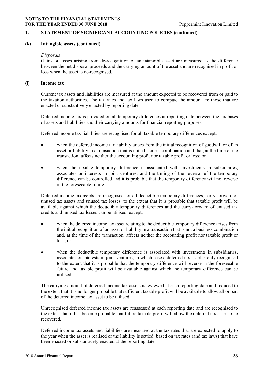### **(k) Intangible assets (continued)**

#### *Disposals*

Gains or losses arising from de-recognition of an intangible asset are measured as the difference between the net disposal proceeds and the carrying amount of the asset and are recognised in profit or loss when the asset is de-recognised.

### **(l) Income tax**

Current tax assets and liabilities are measured at the amount expected to be recovered from or paid to the taxation authorities. The tax rates and tax laws used to compute the amount are those that are enacted or substantively enacted by reporting date.

Deferred income tax is provided on all temporary differences at reporting date between the tax bases of assets and liabilities and their carrying amounts for financial reporting purposes.

Deferred income tax liabilities are recognised for all taxable temporary differences except:

- when the deferred income tax liability arises from the initial recognition of goodwill or of an asset or liability in a transaction that is not a business combination and that, at the time of the transaction, affects neither the accounting profit nor taxable profit or loss; or
- when the taxable temporary difference is associated with investments in subsidiaries, associates or interests in joint ventures, and the timing of the reversal of the temporary difference can be controlled and it is probable that the temporary difference will not reverse in the foreseeable future.

Deferred income tax assets are recognised for all deductible temporary differences, carry-forward of unused tax assets and unused tax losses, to the extent that it is probable that taxable profit will be available against which the deductible temporary differences and the carry-forward of unused tax credits and unused tax losses can be utilised, except:

- when the deferred income tax asset relating to the deductible temporary difference arises from the initial recognition of an asset or liability in a transaction that is not a business combination and, at the time of the transaction, affects neither the accounting profit nor taxable profit or loss; or
- when the deductible temporary difference is associated with investments in subsidiaries, associates or interests in joint ventures, in which case a deferred tax asset is only recognised to the extent that it is probable that the temporary difference will reverse in the foreseeable future and taxable profit will be available against which the temporary difference can be utilised.

The carrying amount of deferred income tax assets is reviewed at each reporting date and reduced to the extent that it is no longer probable that sufficient taxable profit will be available to allow all or part of the deferred income tax asset to be utilised.

Unrecognised deferred income tax assets are reassessed at each reporting date and are recognised to the extent that it has become probable that future taxable profit will allow the deferred tax asset to be recovered.

Deferred income tax assets and liabilities are measured at the tax rates that are expected to apply to the year when the asset is realised or the liability is settled, based on tax rates (and tax laws) that have been enacted or substantively enacted at the reporting date.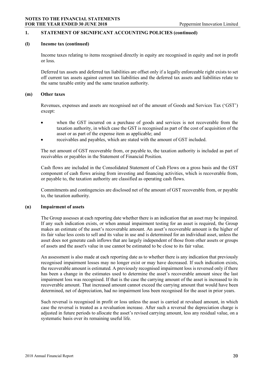### **(l) Income tax (continued)**

Income taxes relating to items recognised directly in equity are recognised in equity and not in profit or loss.

Deferred tax assets and deferred tax liabilities are offset only if a legally enforceable right exists to set off current tax assets against current tax liabilities and the deferred tax assets and liabilities relate to the same taxable entity and the same taxation authority.

### **(m) Other taxes**

Revenues, expenses and assets are recognised net of the amount of Goods and Services Tax ('GST') except:

- when the GST incurred on a purchase of goods and services is not recoverable from the taxation authority, in which case the GST is recognised as part of the cost of acquisition of the asset or as part of the expense item as applicable; and
- receivables and payables, which are stated with the amount of GST included.

The net amount of GST recoverable from, or payable to, the taxation authority is included as part of receivables or payables in the Statement of Financial Position.

Cash flows are included in the Consolidated Statement of Cash Flows on a gross basis and the GST component of cash flows arising from investing and financing activities, which is recoverable from, or payable to, the taxation authority are classified as operating cash flows.

Commitments and contingencies are disclosed net of the amount of GST recoverable from, or payable to, the taxation authority.

### **(n) Impairment of assets**

The Group assesses at each reporting date whether there is an indication that an asset may be impaired. If any such indication exists, or when annual impairment testing for an asset is required, the Group makes an estimate of the asset's recoverable amount. An asset's recoverable amount is the higher of its fair value less costs to sell and its value in use and is determined for an individual asset, unless the asset does not generate cash inflows that are largely independent of those from other assets or groups of assets and the asset's value in use cannot be estimated to be close to its fair value.

An assessment is also made at each reporting date as to whether there is any indication that previously recognised impairment losses may no longer exist or may have decreased. If such indication exists, the recoverable amount is estimated. A previously recognised impairment loss is reversed only if there has been a change in the estimates used to determine the asset's recoverable amount since the last impairment loss was recognised. If that is the case the carrying amount of the asset is increased to its recoverable amount. That increased amount cannot exceed the carrying amount that would have been determined, net of depreciation, had no impairment loss been recognised for the asset in prior years.

Such reversal is recognised in profit or loss unless the asset is carried at revalued amount, in which case the reversal is treated as a revaluation increase. After such a reversal the depreciation charge is adjusted in future periods to allocate the asset's revised carrying amount, less any residual value, on a systematic basis over its remaining useful life.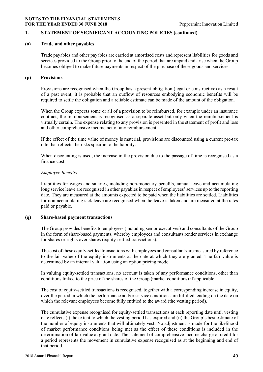### **NOTES TO THE FINANCIAL STATEMENTS FOR THE YEAR ENDED 30 JUNE 2018** Peppermint Innovation Limited

### **1. STATEMENT OF SIGNIFICANT ACCOUNTING POLICIES (continued)**

### **(o) Trade and other payables**

Trade payables and other payables are carried at amortised costs and represent liabilities for goods and services provided to the Group prior to the end of the period that are unpaid and arise when the Group becomes obliged to make future payments in respect of the purchase of these goods and services.

### **(p) Provisions**

Provisions are recognised when the Group has a present obligation (legal or constructive) as a result of a past event, it is probable that an outflow of resources embodying economic benefits will be required to settle the obligation and a reliable estimate can be made of the amount of the obligation.

When the Group expects some or all of a provision to be reimbursed, for example under an insurance contract, the reimbursement is recognised as a separate asset but only when the reimbursement is virtually certain. The expense relating to any provision is presented in the statement of profit and loss and other comprehensive income net of any reimbursement.

If the effect of the time value of money is material, provisions are discounted using a current pre-tax rate that reflects the risks specific to the liability.

When discounting is used, the increase in the provision due to the passage of time is recognised as a finance cost.

### *Employee Benefits*

Liabilities for wages and salaries, including non-monetary benefits, annual leave and accumulating long service leave are recognised in other payables in respect of employees' services up to the reporting date. They are measured at the amounts expected to be paid when the liabilities are settled. Liabilities for non-accumulating sick leave are recognised when the leave is taken and are measured at the rates paid or payable.

### **(q) Share-based payment transactions**

The Group provides benefits to employees (including senior executives) and consultants of the Group in the form of share-based payments, whereby employees and consultants render services in exchange for shares or rights over shares (equity-settled transactions).

The cost of these equity-settled transactions with employees and consultants are measured by reference to the fair value of the equity instruments at the date at which they are granted. The fair value is determined by an internal valuation using an option pricing model.

In valuing equity-settled transactions, no account is taken of any performance conditions, other than conditions linked to the price of the shares of the Group (market conditions) if applicable.

The cost of equity-settled transactions is recognised, together with a corresponding increase in equity, over the period in which the performance and/or service conditions are fulfilled, ending on the date on which the relevant employees become fully entitled to the award (the vesting period).

The cumulative expense recognised for equity-settled transactions at each reporting date until vesting date reflects (i) the extent to which the vesting period has expired and (ii) the Group's best estimate of the number of equity instruments that will ultimately vest. No adjustment is made for the likelihood of market performance conditions being met as the effect of these conditions is included in the determination of fair value at grant date. The statement of comprehensive income charge or credit for a period represents the movement in cumulative expense recognised as at the beginning and end of that period.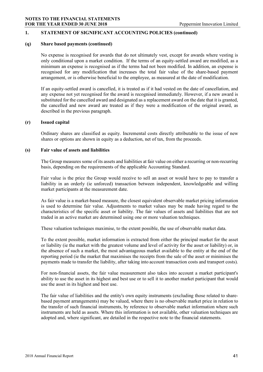### **(q) Share based payments (continued)**

No expense is recognised for awards that do not ultimately vest, except for awards where vesting is only conditional upon a market condition. If the terms of an equity-settled award are modified, as a minimum an expense is recognised as if the terms had not been modified. In addition, an expense is recognised for any modification that increases the total fair value of the share-based payment arrangement, or is otherwise beneficial to the employee, as measured at the date of modification.

If an equity-settled award is cancelled, it is treated as if it had vested on the date of cancellation, and any expense not yet recognised for the award is recognised immediately. However, if a new award is substituted for the cancelled award and designated as a replacement award on the date that it is granted, the cancelled and new award are treated as if they were a modification of the original award, as described in the previous paragraph.

### **(r) Issued capital**

Ordinary shares are classified as equity. Incremental costs directly attributable to the issue of new shares or options are shown in equity as a deduction, net of tax, from the proceeds.

### **(s) Fair value of assets and liabilities**

The Group measures some of its assets and liabilities at fair value on either a recurring or non-recurring basis, depending on the requirements of the applicable Accounting Standard.

Fair value is the price the Group would receive to sell an asset or would have to pay to transfer a liability in an orderly (ie unforced) transaction between independent, knowledgeable and willing market participants at the measurement date.

As fair value is a market-based measure, the closest equivalent observable market pricing information is used to determine fair value. Adjustments to market values may be made having regard to the characteristics of the specific asset or liability. The fair values of assets and liabilities that are not traded in an active market are determined using one or more valuation techniques.

These valuation techniques maximise, to the extent possible, the use of observable market data.

To the extent possible, market information is extracted from either the principal market for the asset or liability (ie the market with the greatest volume and level of activity for the asset or liability) or, in the absence of such a market, the most advantageous market available to the entity at the end of the reporting period (ie the market that maximises the receipts from the sale of the asset or minimises the payments made to transfer the liability, after taking into account transaction costs and transport costs).

For non-financial assets, the fair value measurement also takes into account a market participant's ability to use the asset in its highest and best use or to sell it to another market participant that would use the asset in its highest and best use.

The fair value of liabilities and the entity's own equity instruments (excluding those related to sharebased payment arrangements) may be valued, where there is no observable market price in relation to the transfer of such financial instruments, by reference to observable market information where such instruments are held as assets. Where this information is not available, other valuation techniques are adopted and, where significant, are detailed in the respective note to the financial statements.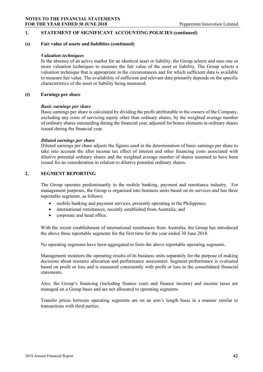### **(s) Fair value of assets and liabilities (continued)**

#### *Valuation techniques*

In the absence of an active market for an identical asset or liability, the Group selects and uses one or more valuation techniques to measure the fair value of the asset or liability, The Group selects a valuation technique that is appropriate in the circumstances and for which sufficient data is available to measure fair value. The availability of sufficient and relevant data primarily depends on the specific characteristics of the asset or liability being measured.

### **(t) Earnings per share**

#### *Basic earnings per share*

Basic earnings per share is calculated by dividing the profit attributable to the owners of the Company, excluding any costs of servicing equity other than ordinary shares, by the weighted average number of ordinary shares outstanding during the financial year, adjusted for bonus elements in ordinary shares issued during the financial year.

### *Diluted earnings per share*

Diluted earnings per share adjusts the figures used in the determination of basic earnings per share to take into account the after income tax effect of interest and other financing costs associated with dilutive potential ordinary shares and the weighted average number of shares assumed to have been issued for no consideration in relation to dilutive potential ordinary shares.

### **2. SEGMENT REPORTING**

The Group operates predominantly in the mobile banking, payment and remittance industry. For management purposes, the Group is organised into business units based on its services and has three reportable segments, as follows:

- mobile banking and payment services, presently operating in the Philippines;
- international remittances, recently established from Australia; and
- corporate and head office.

With the recent establishment of international remittances from Australia, the Group has introduced the above three reportable segments for the first time for the year ended 30 June 2018.

No operating segments have been aggregated to form the above reportable operating segments.

Management monitors the operating results of its business units separately for the purpose of making decisions about resource allocation and performance assessment. Segment performance is evaluated based on profit or loss and is measured consistently with profit or loss in the consolidated financial statements.

Also, the Group's financing (including finance costs and finance income) and income taxes are managed on a Group basis and are not allocated to operating segments.

Transfer prices between operating segments are on an arm's length basis in a manner similar to transactions with third parties.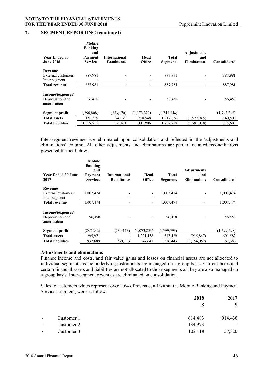# **2. SEGMENT REPORTING (continued)**

| <b>Year Ended 30</b><br><b>June 2018</b>              | <b>Mobile</b><br><b>Banking</b><br>and<br>Payment<br><b>Services</b> | <b>International</b><br>Remittance | Head<br>Office | Total<br><b>Segments</b> | <b>Adjustments</b><br>and<br><b>Eliminations</b> | Consolidated |
|-------------------------------------------------------|----------------------------------------------------------------------|------------------------------------|----------------|--------------------------|--------------------------------------------------|--------------|
| <b>Revenue</b><br>External customers<br>Inter-segment | 887,981                                                              |                                    |                | 887,981                  |                                                  | 887,981      |
| <b>Total revenue</b>                                  | 887,981                                                              |                                    |                | 887,981                  |                                                  | 887,981      |
| Income/(expenses)<br>Depreciation and<br>amortisation | 56,458                                                               |                                    |                | 56,458                   |                                                  | 56,458       |
| <b>Segment profit</b>                                 | (296, 808)                                                           | (273, 170)                         | (1, 173, 370)  | (1,743,348)              |                                                  | (1,743,348)  |
| <b>Total assets</b>                                   | 135.229                                                              | 24,079                             | 1,758,548      | 1,917,856                | (1,577,365)                                      | 340,500      |
| <b>Total liabilities</b>                              | 1,068,755                                                            | 536,361                            | 331,806        | 1,939,922                | (1, 591, 319)                                    | 345,603      |

Inter-segment revenues are eliminated upon consolidation and reflected in the 'adjustments and eliminations' column. All other adjustments and eliminations are part of detailed reconciliations presented further below.

| <b>Year Ended 30 June</b><br>2017                     | <b>Mobile</b><br><b>Banking</b><br>and<br>Payment<br><b>Services</b> | <b>International</b><br>Remittance | Head<br><b>Office</b> | <b>Total</b><br><b>Segments</b> | <b>Adjustments</b><br>and<br><b>Eliminations</b> | Consolidated |
|-------------------------------------------------------|----------------------------------------------------------------------|------------------------------------|-----------------------|---------------------------------|--------------------------------------------------|--------------|
| <b>Revenue</b>                                        |                                                                      |                                    |                       |                                 |                                                  |              |
| External customers                                    | 1,007,474                                                            |                                    |                       | 1,007,474                       |                                                  | 1,007,474    |
| Inter-segment                                         |                                                                      |                                    |                       |                                 |                                                  |              |
| <b>Total revenue</b>                                  | .007,474                                                             |                                    |                       | 1,007,474                       |                                                  | 1,007,474    |
| Income/(expenses)<br>Depreciation and<br>amortisation | 56,458                                                               |                                    |                       | 56,458                          |                                                  | 56,458       |
| Segment profit                                        | 287,232)                                                             | (239, 113)                         | (1,073,253)           | (1, 599, 598)                   |                                                  | (1,599,598)  |
| <b>Total assets</b>                                   | 295,971                                                              |                                    | 1,221,458             | 1,517,429                       | (915, 847)                                       | 601,582      |
| <b>Total liabilities</b>                              | 932.689                                                              | 239.113                            | 44.641                | 1.216.443                       | (1.154.057)                                      | 62,386       |

### **Adjustments and eliminations**

Finance income and costs, and fair value gains and losses on financial assets are not allocated to individual segments as the underlying instruments are managed on a group basis. Current taxes and certain financial assets and liabilities are not allocated to those segments as they are also managed on a group basis. Inter-segment revenues are eliminated on consolidation.

Sales to customers which represent over 10% of revenue, all within the Mobile Banking and Payment Services segment, were as follow:

|            | 2018    | 2017    |  |
|------------|---------|---------|--|
|            | \$      | \$      |  |
| Customer 1 | 614,483 | 914,436 |  |
| Customer 2 | 134,973 | -       |  |
| Customer 3 | 102,118 | 57,320  |  |
|            |         |         |  |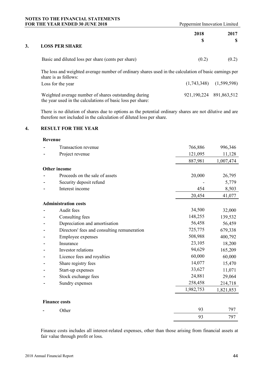### **NOTES TO THE FINANCIAL STATEMENTS FOR THE YEAR ENDED 30 JUNE 2018** Pennermint Innovation Limited

the year used in the calculations of basic loss per share:

|    | FOR THE YEAR ENDED 30 JUNE 2018                                                                                               | Peppermint innovation Limited |               |
|----|-------------------------------------------------------------------------------------------------------------------------------|-------------------------------|---------------|
|    |                                                                                                                               | 2018                          | 2017          |
| 3. | <b>LOSS PER SHARE</b>                                                                                                         | S                             | S             |
|    | Basic and diluted loss per share (cents per share)                                                                            | (0.2)                         | (0.2)         |
|    | The loss and weighted average number of ordinary shares used in the calculation of basic earnings per<br>share is as follows: |                               |               |
|    | Loss for the year                                                                                                             | (1,743,348)                   | (1,599,598)   |
|    | Weighted average number of shares outstanding during                                                                          | 921,190,224                   | 891, 863, 512 |

There is no dilution of shares due to options as the potential ordinary shares are not dilutive and are therefore not included in the calculation of diluted loss per share.

# **4. RESULT FOR THE YEAR**

| Revenue |                                             |           |           |
|---------|---------------------------------------------|-----------|-----------|
|         | Transaction revenue                         | 766,886   | 996,346   |
|         | Project revenue                             | 121,095   | 11,128    |
|         |                                             | 887,981   | 1,007,474 |
|         | <b>Other income</b>                         |           |           |
|         | Proceeds on the sale of assets              | 20,000    | 26,795    |
|         | Security deposit refund                     |           | 5,779     |
|         | Interest income                             | 454       | 8,503     |
|         |                                             | 20,454    | 41,077    |
|         | <b>Administration costs</b>                 |           |           |
|         | Audit fees                                  | 34,500    | 32,000    |
|         | Consulting fees                             | 148,255   | 139,532   |
|         | Depreciation and amortisation               | 56,458    | 56,459    |
|         | Directors' fees and consulting remuneration | 725,775   | 679,338   |
|         | Employee expenses                           | 508,988   | 400,792   |
|         | Insurance                                   | 23,105    | 18,200    |
|         | Investor relations                          | 94,629    | 165,209   |
|         | Licence fees and royalties                  | 60,000    | 60,000    |
|         | Share registry fees                         | 14,077    | 15,470    |
|         | Start-up expenses                           | 33,627    | 11,071    |
|         | Stock exchange fees                         | 24,881    | 29,064    |
|         | Sundry expenses                             | 258,458   | 214,718   |
|         |                                             | 1,982,753 | 1,821,853 |
|         |                                             |           |           |
|         | <b>Finance costs</b>                        |           |           |
|         | Other                                       | 93        | 797       |
|         |                                             | 93        | 797       |

Finance costs includes all interest-related expenses, other than those arising from financial assets at fair value through profit or loss.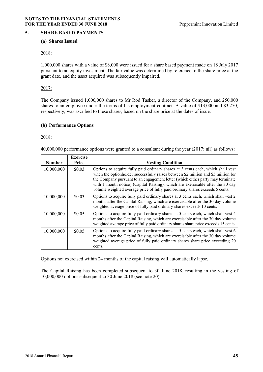### **5. SHARE BASED PAYMENTS**

### **(a) Shares Issued**

### 2018:

1,000,000 shares with a value of \$8,000 were issued for a share based payment made on 18 July 2017 pursuant to an equity investment. The fair value was determined by reference to the share price at the grant date, and the asset acquired was subsequently impaired.

### 2017:

The Company issued 1,000,000 shares to Mr Rod Tasker, a director of the Company, and 250,000 shares to an employee under the terms of his employment contract. A value of \$13,000 and \$3,250, respectively, was ascribed to these shares, based on the share price at the dates of issue.

### **(b) Performance Options**

### 2018:

40,000,000 performance options were granted to a consultant during the year (2017: nil) as follows:

|               | <b>Exercise</b> |                                                                                                                                                                                                                                                                                                                                                                                                                          |
|---------------|-----------------|--------------------------------------------------------------------------------------------------------------------------------------------------------------------------------------------------------------------------------------------------------------------------------------------------------------------------------------------------------------------------------------------------------------------------|
| <b>Number</b> | Price           | <b>Vesting Condition</b>                                                                                                                                                                                                                                                                                                                                                                                                 |
| 10,000,000    | \$0.03          | Options to acquire fully paid ordinary shares at 3 cents each, which shall vest<br>when the optionholder successfully raises between \$2 million and \$5 million for<br>the Company pursuant to an engagement letter (which either party may terminate<br>with 1 month notice) (Capital Raising), which are exercisable after the 30 day<br>volume weighted average price of fully paid ordinary shares exceeds 5 cents. |
| 10,000,000    | \$0.03\$        | Options to acquire fully paid ordinary shares at 3 cents each, which shall vest 2<br>months after the Capital Raising, which are exercisable after the 30 day volume<br>weighted average price of fully paid ordinary shares exceeds 10 cents.                                                                                                                                                                           |
| 10,000,000    | \$0.05          | Options to acquire fully paid ordinary shares at 5 cents each, which shall vest 4<br>months after the Capital Raising, which are exercisable after the 30 day volume<br>weighted average price of fully paid ordinary shares share price exceeds 15 cents.                                                                                                                                                               |
| 10,000,000    | \$0.05          | Options to acquire fully paid ordinary shares at 5 cents each, which shall vest 6<br>months after the Capital Raising, which are exercisable after the 30 day volume<br>weighted average price of fully paid ordinary shares share price exceeding 20<br>cents.                                                                                                                                                          |

Options not exercised within 24 months of the capital raising will automatically lapse.

The Capital Raising has been completed subsequent to 30 June 2018, resulting in the vesting of 10,000,000 options subsequent to 30 June 2018 (see note 20).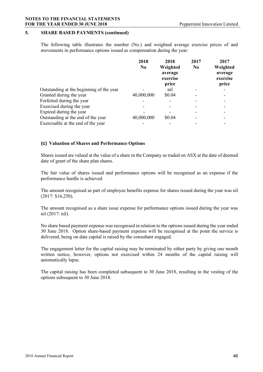### **5. SHARE BASED PAYMENTS (continued)**

The following table illustrates the number (No.) and weighted average exercise prices of and movements in performance options issued as compensation during the year:

|                                          | 2018<br>N <sub>0</sub> | 2018<br>Weighted<br>average<br>exercise<br>price | 2017<br>N <sub>0</sub> | 2017<br>Weighted<br>average<br>exercise<br>price |
|------------------------------------------|------------------------|--------------------------------------------------|------------------------|--------------------------------------------------|
| Outstanding at the beginning of the year |                        | nil                                              |                        |                                                  |
| Granted during the year                  | 40,000,000             | \$0.04                                           |                        |                                                  |
| Forfeited during the year                |                        |                                                  |                        |                                                  |
| Exercised during the year                |                        |                                                  |                        |                                                  |
| Expired during the year                  |                        |                                                  |                        |                                                  |
| Outstanding at the end of the year       | 40,000,000             | \$0.04                                           |                        |                                                  |
| Exercisable at the end of the year       |                        |                                                  |                        |                                                  |

### **(c) Valuation of Shares and Performance Options**

Shares issued are valued at the value of a share in the Company as traded on ASX at the date of deemed date of grant of the share plan shares.

The fair value of shares issued and performance options will be recognised as an expense if the performance hurdle is achieved.

The amount recognised as part of employee benefits expense for shares issued during the year was nil (2017: \$16,250).

The amount recognised as a share issue expense for performance options issued during the year was nil (2017: nil).

No share based payment expense was recognised in relation to the options issued during the year ended 30 June 2018. Option share-based payment expense will be recognised at the point the service is delivered, being on date capital is raised by the consultant engaged.

The engagement letter for the capital raising may be terminated by either party by giving one month written notice, however, options not exercised within 24 months of the capital raising will automatically lapse.

The capital raising has been completed subsequent to 30 June 2018, resulting in the vesting of the options subsequent to 30 June 2018.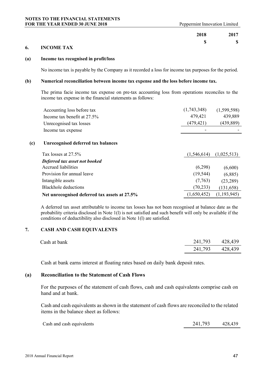### **NOTES TO THE FINANCIAL STATEMENTS FOR THE YEAR ENDED 30 JUNE 2018**

| Peppermint Innovation Limited |      |  |
|-------------------------------|------|--|
| 2018                          | 2017 |  |
| \$                            |      |  |

### **6. INCOME TAX**

### **(a) Income tax recognised in profit/loss**

No income tax is payable by the Company as it recorded a loss for income tax purposes for the period.

#### **(b) Numerical reconciliation between income tax expense and the loss before income tax.**

The prima facie income tax expense on pre-tax accounting loss from operations reconciles to the income tax expense in the financial statements as follows:

| Accounting loss before tax  | (1,743,348) | (1,599,598) |
|-----------------------------|-------------|-------------|
| Income tax benefit at 27.5% | 479.421     | 439.889     |
| Unrecognised tax losses     | (479, 421)  | (439, 889)  |
| Income tax expense          | -           |             |

### **(c) Unrecognised deferred tax balances**

| Tax losses at $27.5\%$                        | (1,546,614) | (1,025,513)   |
|-----------------------------------------------|-------------|---------------|
| Deferred tax asset not booked                 |             |               |
| <b>Accrued liabilities</b>                    | (6,298)     | (6,600)       |
| Provision for annual leave                    | (19, 544)   | (6,885)       |
| Intangible assets                             | (7,763)     | (23, 289)     |
| <b>Blackhole deductions</b>                   | (70, 233)   | (131, 658)    |
| Net unrecognised deferred tax assets at 27.5% | (1,650,452) | (1, 193, 945) |

A deferred tax asset attributable to income tax losses has not been recognised at balance date as the probability criteria disclosed in Note 1(l) is not satisfied and such benefit will only be available if the conditions of deductibility also disclosed in Note 1(l) are satisfied.

### **7. CASH AND CASH EQUIVALENTS**

| Cash at bank | 241,793 | 428,439         |
|--------------|---------|-----------------|
|              |         | 241,793 428,439 |

Cash at bank earns interest at floating rates based on daily bank deposit rates.

# **(a) Reconciliation to the Statement of Cash Flows**

For the purposes of the statement of cash flows, cash and cash equivalents comprise cash on hand and at bank.

Cash and cash equivalents as shown in the statement of cash flows are reconciled to the related items in the balance sheet as follows:

| Cash and cash equivalents | 241,793 | 428,439 |
|---------------------------|---------|---------|
|---------------------------|---------|---------|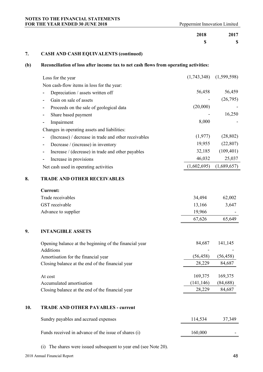# **NOTES TO THE FINANCIAL STATEMENTS FOR THE YEAR ENDED 30 JUNE 2018** Peppermint Innovation Limited

| Peppermint Innovation Limited |  |
|-------------------------------|--|
|                               |  |

| 2018 | 2017 |
|------|------|
|      |      |

**\$ \$**

# **7. CASH AND CASH EQUIVALENTS (continued)**

# **(b) Reconciliation of loss after income tax to net cash flows from operating activities:**

|     | Loss for the year                                                             | (1,743,348) | (1,599,598) |
|-----|-------------------------------------------------------------------------------|-------------|-------------|
|     | Non cash-flow items in loss for the year:                                     |             |             |
|     | Depreciation / assets written off<br>۰                                        | 56,458      | 56,459      |
|     | Gain on sale of assets                                                        |             | (26,795)    |
|     | Proceeds on the sale of geological data<br>$\qquad \qquad \blacksquare$       | (20,000)    |             |
|     | Share based payment<br>۰                                                      |             | 16,250      |
|     | Impairment<br>$\overline{\phantom{a}}$                                        | 8,000       |             |
|     | Changes in operating assets and liabilities:                                  |             |             |
|     | (Increase) / decrease in trade and other receivables                          | (1,977)     | (28, 802)   |
|     | Decrease / (increase) in inventory                                            | 19,955      | (22, 807)   |
|     | Increase / (decrease) in trade and other payables<br>$\overline{\phantom{a}}$ | 32,185      | (109, 401)  |
|     | Increase in provisions                                                        | 46,032      | 25,037      |
|     | Net cash used in operating activities                                         | (1,602,695) | (1,689,657) |
| 8.  | <b>TRADE AND OTHER RECEIVABLES</b>                                            |             |             |
|     | <b>Current:</b>                                                               |             |             |
|     | Trade receivables                                                             | 34,494      | 62,002      |
|     | GST receivable                                                                | 13,166      | 3,647       |
|     | Advance to supplier                                                           | 19,966      |             |
|     |                                                                               | 67,626      | 65,649      |
| 9.  | <b>INTANGIBLE ASSETS</b>                                                      |             |             |
|     | Opening balance at the beginning of the financial year<br><b>Additions</b>    | 84,687      | 141,145     |
|     | Amortisation for the financial year                                           | (56, 458)   | (56, 458)   |
|     | Closing balance at the end of the financial year                              | 28,229      | 84,687      |
|     | At cost                                                                       | 169,375     | 169,375     |
|     | Accumulated amortisation                                                      | (141, 146)  | (84, 688)   |
|     | Closing balance at the end of the financial year                              | 28,229      | 84,687      |
| 10. | <b>TRADE AND OTHER PAYABLES - current</b>                                     |             |             |
|     | Sundry payables and accrued expenses                                          | 114,534     | 37,349      |
|     | Funds received in advance of the issue of shares (i)                          | 160,000     |             |

(i) The shares were issued subsequent to year end (see Note 20).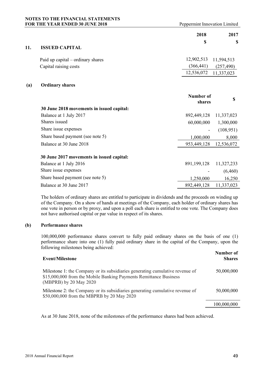### **NOTES TO THE FINANCIAL STATEMENTS FOR THE YEAR ENDED 30 JUNE 2018** Pennermint Innovation Limited

| FUK THE YEAK ENDED 30 JUNE 2018           | Peppermint innovation Limited    |
|-------------------------------------------|----------------------------------|
|                                           | 2018<br>2017                     |
|                                           | \$<br>S                          |
| 11.<br><b>ISSUED CAPITAL</b>              |                                  |
| Paid up capital – ordinary shares         | 12,902,513<br>11,594,513         |
| Capital raising costs                     | (366, 441)<br>(257, 490)         |
|                                           | 12,536,072<br>11,337,023         |
| <b>Ordinary shares</b><br>(a)             |                                  |
|                                           | <b>Number of</b><br>\$<br>shares |
| 30 June 2018 movements in issued capital: |                                  |
| Balance at 1 July 2017                    | 892,449,128<br>11,337,023        |
| Shares issued                             | 60,000,000<br>1,300,000          |
| Share issue expenses                      | (108, 951)                       |
| Share based payment (see note 5)          | 1,000,000<br>8,000               |
| Balance at 30 June 2018                   | 12,536,072<br>953,449,128        |
| 30 June 2017 movements in issued capital: |                                  |
| Balance at 1 July 2016                    | 891,199,128<br>11,327,233        |
| Share issue expenses                      | (6,460)                          |
| Share based payment (see note 5)          | 1,250,000<br>16,250              |
| Balance at 30 June 2017                   | 892,449,128<br>11,337,023        |

The holders of ordinary shares are entitled to participate in dividends and the proceeds on winding up of the Company. On a show of hands at meetings of the Company, each holder of ordinary shares has one vote in person or by proxy, and upon a poll each share is entitled to one vote. The Company does not have authorised capital or par value in respect of its shares.

# **(b) Performance shares**

100,000,000 performance shares convert to fully paid ordinary shares on the basis of one (1) performance share into one (1) fully paid ordinary share in the capital of the Company, upon the following milestones being achieved:

| <b>Event/Milestone</b>                                                                                                                                                       | Number of<br><b>Shares</b> |
|------------------------------------------------------------------------------------------------------------------------------------------------------------------------------|----------------------------|
| Milestone 1: the Company or its subsidiaries generating cumulative revenue of<br>\$15,000,000 from the Mobile Banking Payments Remittance Business<br>(MBPRB) by 20 May 2020 | 50,000,000                 |
| Milestone 2: the Company or its subsidiaries generating cumulative revenue of<br>\$50,000,000 from the MBPRB by 20 May 2020                                                  | 50,000,000                 |
|                                                                                                                                                                              | 100,000,000                |
|                                                                                                                                                                              |                            |

As at 30 June 2018, none of the milestones of the performance shares had been achieved.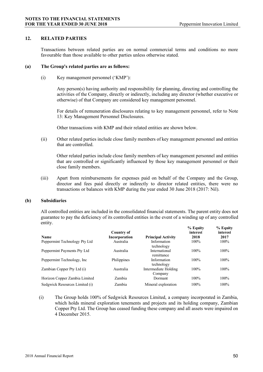### **12. RELATED PARTIES**

Transactions between related parties are on normal commercial terms and conditions no more favourable than those available to other parties unless otherwise stated.

### **(a) The Group's related parties are as follows:**

(i) Key management personnel ('KMP'):

Any person(s) having authority and responsibility for planning, directing and controlling the activities of the Company, directly or indirectly, including any director (whether executive or otherwise) of that Company are considered key management personnel.

For details of remuneration disclosures relating to key management personnel, refer to Note 13: Key Management Personnel Disclosures.

Other transactions with KMP and their related entities are shown below.

(ii) Other related parties include close family members of key management personnel and entities that are controlled.

Other related parties include close family members of key management personnel and entities that are controlled or significantly influenced by those key management personnel or their close family members.

(iii) Apart from reimbursements for expenses paid on behalf of the Company and the Group, director and fees paid directly or indirectly to director related entities, there were no transactions or balances with KMP during the year ended 30 June 2018 (2017: Nil).

### **(b) Subsidiaries**

All controlled entities are included in the consolidated financial statements. The parent entity does not guarantee to pay the deficiency of its controlled entities in the event of a winding up of any controlled entity.  $\mathbf{M} \times \mathbf{E}$   $\mathbf{M} \times \mathbf{M}$  $\mathbf{M}$  **Equity**  $\mathbf{M}$ 

|                                | Country of    |                                 | 70 Equity<br>interest | % Equity<br>interest |
|--------------------------------|---------------|---------------------------------|-----------------------|----------------------|
| <b>Name</b>                    | Incorporation | <b>Principal Activity</b>       | 2018                  | 2017                 |
| Peppermint Technology Pty Ltd  | Australia     | Information<br>technology       | $100\%$               | 100%                 |
| Peppermint Payments Pty Ltd    | Australia     | International<br>remittance     | $100\%$               | 100%                 |
| Peppermint Technology, Inc.    | Philippines   | Information<br>technology       | 100%                  | 100%                 |
| Zambian Copper Pty Ltd (i)     | Australia     | Intermediate Holding<br>Company | $100\%$               | 100%                 |
| Horizon Copper Zambia Limited  | Zambia        | Dormant                         | 100%                  | 100%                 |
| Sedgwick Resources Limited (i) | Zambia        | Mineral exploration             | 100%                  | 100%                 |

(i) The Group holds 100% of Sedgwick Resources Limited, a company incorporated in Zambia, which holds mineral exploration tenements and projects and its holding company. Zambian Copper Pty Ltd. The Group has ceased funding these company and all assets were impaired on 4 December 2015.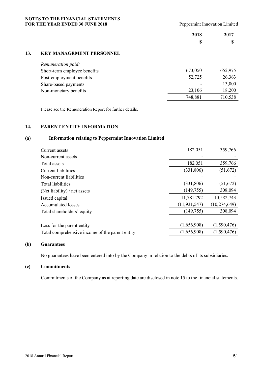# **NOTES TO THE FINANCIAL STATEMENTS**

|     | FOR THE YEAR ENDED 30 JUNE 2018 |         | Peppermint Innovation Limited |  |
|-----|---------------------------------|---------|-------------------------------|--|
|     |                                 | 2018    | 2017                          |  |
|     |                                 | \$      | \$                            |  |
| 13. | <b>KEY MANAGEMENT PERSONNEL</b> |         |                               |  |
|     | Remuneration paid:              |         |                               |  |
|     | Short-term employee benefits    | 673,050 | 652,975                       |  |
|     | Post-employment benefits        | 52,725  | 26,363                        |  |
|     | Share-based payments            |         | 13,000                        |  |
|     | Non-monetary benefits           | 23,106  | 18,200                        |  |
|     |                                 | 748,881 | 710,538                       |  |

Please see the Remuneration Report for further details.

# **14. PARENT ENTITY INFORMATION**

# **(a) Information relating to Peppermint Innovation Limited**

| 182,051        | 359,766        |
|----------------|----------------|
|                |                |
| 182,051        | 359,766        |
| (331, 806)     | (51, 672)      |
|                |                |
| (331, 806)     | (51, 672)      |
| (149, 755)     | 308,094        |
| 11,781,792     | 10,582,743     |
| (11, 931, 547) | (10, 274, 649) |
| (149, 755)     | 308,094        |
|                |                |
| (1,656,908)    | (1,590,476)    |
| (1,656,908)    | (1,590,476)    |
|                |                |

### **(b) Guarantees**

No guarantees have been entered into by the Company in relation to the debts of its subsidiaries.

### **(c) Commitments**

Commitments of the Company as at reporting date are disclosed in note 15 to the financial statements.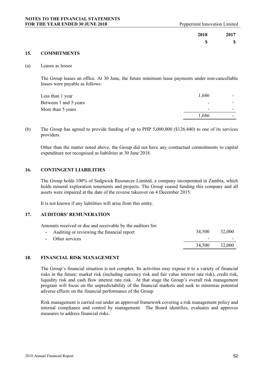### **NOTES TO THE FINANCIAL STATEMENTS FOR THE YEAR ENDED 30 JUNE 2018** Peppermint Innovation Limited

### **15. COMMITMENTS**

(a) Leases as lessee

The Group leases an office. At 30 June, the future minimum lease payments under non-cancellable leases were payable as follows:

| Less than 1 year      | 1,686 | $\overline{\phantom{0}}$ |
|-----------------------|-------|--------------------------|
| Between 1 and 5 years | -     | -                        |
| More than 5 years     | -     | -                        |
|                       | 1,686 | -                        |

(b) The Group has agreed to provide funding of up to PHP 5,000,000 (\$126,440) to one of its services providers.

Other than the matter noted above, the Group did not have any contractual commitments to capital expenditure not recognised as liabilities at 30 June 2018.

### **16. CONTINGENT LIABILITIES**

The Group holds 100% of Sedgwick Resources Limited, a company incorporated in Zambia, which holds mineral exploration tenements and projects. The Group ceased funding this company and all assets were impaired at the date of the reverse takeover on 4 December 2015.

It is not known if any liabilities will arise from this entity.

### **17. AUDITORS' REMUNERATION**

| Amounts received or due and receivable by the auditors for: |                          |        |
|-------------------------------------------------------------|--------------------------|--------|
| - Auditing or reviewing the financial report                | 34,500                   | 32,000 |
| - Other services                                            | $\overline{\phantom{0}}$ |        |
|                                                             | 34,500                   | 32,000 |

### **18. FINANCIAL RISK MANAGEMENT**

The Group's financial situation is not complex. Its activities may expose it to a variety of financial risks in the future: market risk (including currency risk and fair value interest rate risk), credit risk, liquidity risk and cash flow interest rate risk. At that stage the Group's overall risk management program will focus on the unpredictability of the financial markets and seek to minimise potential adverse effects on the financial performance of the Group.

Risk management is carried out under an approved framework covering a risk management policy and internal compliance and control by management. The Board identifies, evaluates and approves measures to address financial risks.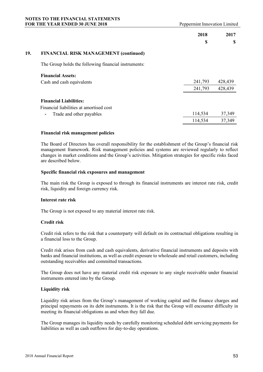### **NOTES TO THE FINANCIAL STATEMENTS FOR THE YEAR ENDED 30 JUNE 2018** Peppermint Innovation Limited

|     | FUN THE TEAN ENDED 30 JUNE 2010                      | т сррстнице иннованой тлиниси |         |
|-----|------------------------------------------------------|-------------------------------|---------|
|     |                                                      | 2018                          | 2017    |
|     |                                                      | \$                            | \$      |
| 19. | <b>FINANCIAL RISK MANAGEMENT (continued)</b>         |                               |         |
|     | The Group holds the following financial instruments: |                               |         |
|     | <b>Financial Assets:</b>                             |                               |         |
|     | Cash and cash equivalents                            | 241,793                       | 428,439 |
|     |                                                      | 241,793                       | 428,439 |
|     | <b>Financial Liabilities:</b>                        |                               |         |
|     | Financial liabilities at amortised cost              |                               |         |
|     | Trade and other payables<br>$\sim$                   | 114,534                       | 37,349  |
|     |                                                      | 114,534                       | 37,349  |

### **Financial risk management policies**

The Board of Directors has overall responsibility for the establishment of the Group's financial risk management framework. Risk management policies and systems are reviewed regularly to reflect changes in market conditions and the Group's activities. Mitigation strategies for specific risks faced are described below.

### **Specific financial risk exposures and management**

The main risk the Group is exposed to through its financial instruments are interest rate risk, credit risk, liquidity and foreign currency risk.

### **Interest rate risk**

The Group is not exposed to any material interest rate risk.

# **Credit risk**

Credit risk refers to the risk that a counterparty will default on its contractual obligations resulting in a financial loss to the Group.

Credit risk arises from cash and cash equivalents, derivative financial instruments and deposits with banks and financial institutions, as well as credit exposure to wholesale and retail customers, including outstanding receivables and committed transactions.

The Group does not have any material credit risk exposure to any single receivable under financial instruments entered into by the Group.

# **Liquidity risk**

Liquidity risk arises from the Group's management of working capital and the finance charges and principal repayments on its debt instruments. It is the risk that the Group will encounter difficulty in meeting its financial obligations as and when they fall due.

The Group manages its liquidity needs by carefully monitoring scheduled debt servicing payments for liabilities as well as cash outflows for day-to-day operations.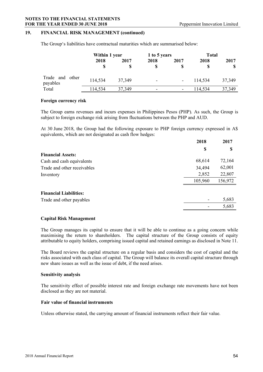### **19. FINANCIAL RISK MANAGEMENT (continued)**

|                                | Within 1 year |        | 1 to 5 years |      |         | <b>Total</b> |
|--------------------------------|---------------|--------|--------------|------|---------|--------------|
|                                | 2018          | 2017   |              | 2017 | 2018    | 2017         |
|                                |               |        |              |      | \$      | \$           |
| Trade and<br>other<br>payables | 114,534       | 37,349 | -            | ۰    | 114,534 | 37,349       |
| Total                          | 114,534       | 37,349 | ۰            | -    | 114,534 | 37,349       |

The Group's liabilities have contractual maturities which are summarised below:

### **Foreign currency risk**

The Group earns revenues and incurs expenses in Philippines Pesos (PHP). As such, the Group is subject to foreign exchange risk arising from fluctuations between the PHP and AUD.

At 30 June 2018, the Group had the following exposure to PHP foreign currency expressed in A\$ equivalents, which are not designated as cash flow hedges:

| \$<br>\$<br><b>Financial Assets:</b><br>68,614<br>72,164<br>Cash and cash equivalents<br>62,001<br>34,494<br>Trade and other receivables |
|------------------------------------------------------------------------------------------------------------------------------------------|
|                                                                                                                                          |
|                                                                                                                                          |
|                                                                                                                                          |
|                                                                                                                                          |
| 2,852<br>22,807<br>Inventory                                                                                                             |
| 156,972<br>105,960                                                                                                                       |
| <b>Financial Liabilities:</b>                                                                                                            |
| 5,683<br>Trade and other payables                                                                                                        |
| 5,683                                                                                                                                    |

#### **Capital Risk Management**

The Group manages its capital to ensure that it will be able to continue as a going concern while maximising the return to shareholders. The capital structure of the Group consists of equity attributable to equity holders, comprising issued capital and retained earnings as disclosed in Note 11.

The Board reviews the capital structure on a regular basis and considers the cost of capital and the risks associated with each class of capital. The Group will balance its overall capital structure through new share issues as well as the issue of debt, if the need arises.

### **Sensitivity analysis**

The sensitivity effect of possible interest rate and foreign exchange rate movements have not been disclosed as they are not material.

### **Fair value of financial instruments**

Unless otherwise stated, the carrying amount of financial instruments reflect their fair value.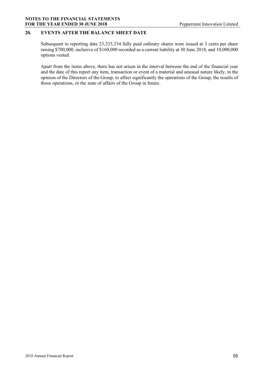### **NOTES TO THE FINANCIAL STATEMENTS FOR THE YEAR ENDED 30 JUNE 2018** Peppermint Innovation Limited

# **20. EVENTS AFTER THE BALANCE SHEET DATE**

Subsequent to reporting date 23,333,334 fully paid ordinary shares were issued at 3 cents per share raising \$700,000, inclusive of \$160,000 recorded as a current liability at 30 June 2018, and 10,000,000 options vested.

Apart from the items above, there has not arisen in the interval between the end of the financial year and the date of this report any item, transaction or event of a material and unusual nature likely, in the opinion of the Directors of the Group, to affect significantly the operations of the Group, the results of those operations, or the state of affairs of the Group in future.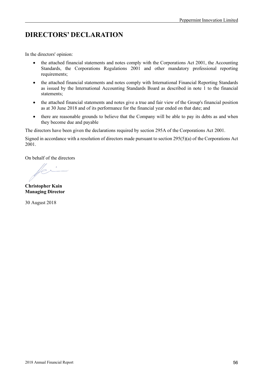# **DIRECTORS' DECLARATION**

In the directors' opinion:

- the attached financial statements and notes comply with the Corporations Act 2001, the Accounting Standards, the Corporations Regulations 2001 and other mandatory professional reporting requirements;
- the attached financial statements and notes comply with International Financial Reporting Standards as issued by the International Accounting Standards Board as described in note 1 to the financial statements;
- the attached financial statements and notes give a true and fair view of the Group's financial position as at 30 June 2018 and of its performance for the financial year ended on that date; and
- there are reasonable grounds to believe that the Company will be able to pay its debts as and when they become due and payable

The directors have been given the declarations required by section 295A of the Corporations Act 2001.

Signed in accordance with a resolution of directors made pursuant to section 295(5)(a) of the Corporations Act 2001.

On behalf of the directors

**Christopher Kain Managing Director** 

30 August 2018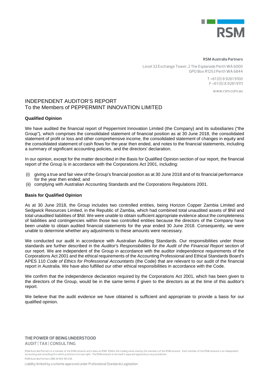

#### **RSM Australia Partners**

Level 32 Exchange Tower, 2 The Esplanade Perth WA 6000 GPO Box R1253 Perth WA 6844

> T +61 (0) 8 9261 9100  $F + 61(0) 892619111$

> > www.rsm.com.au

# INDEPENDENT AUDITOR'S REPORT To the Members of PEPPERMINT INNOVATION LIMITED

#### **Qualified Opinion**

We have audited the financial report of Peppermint Innovation Limited (the Company) and its subsidiaries ("the Group"), which comprises the consolidated statement of financial position as at 30 June 2018, the consolidated statement of profit or loss and other comprehensive income, the consolidated statement of changes in equity and the consolidated statement of cash flows for the year then ended, and notes to the financial statements, including a summary of significant accounting policies, and the directors' declaration.

In our opinion, except for the matter described in the Basis for Qualified Opinion section of our report, the financial report of the Group is in accordance with the Corporations Act 2001, including:

- (i) giving a true and fair view of the Group's financial position as at 30 June 2018 and of its financial performance for the year then ended; and
- (ii) complying with Australian Accounting Standards and the Corporations Regulations 2001.

### **Basis for Qualified Opinion**

As at 30 June 2018, the Group includes two controlled entities, being Horizon Copper Zambia Limited and Sedgwick Resources Limited, in the Republic of Zambia, which had combined total unaudited assets of \$Nil and total unaudited liabilities of \$Nil. We were unable to obtain sufficient appropriate evidence about the completeness of liabilities and contingencies within those two controlled entities because the directors of the Company have been unable to obtain audited financial statements for the year ended 30 June 2018. Consequently, we were unable to determine whether any adjustments to these amounts were necessary.

We conducted our audit in accordance with Australian Auditing Standards. Our responsibilities under those standards are further described in the *Auditor's Responsibilities for the Audit of the Financial Report* section of our report. We are independent of the Group in accordance with the auditor independence requirements of the Corporations Act 2001 and the ethical requirements of the Accounting Professional and Ethical Standards Board's APES 110 *Code of Ethics for Professional Accountants* (the Code) that are relevant to our audit of the financial report in Australia. We have also fulfilled our other ethical responsibilities in accordance with the Code.

We confirm that the independence declaration required by the Corporations Act 2001, which has been given to the directors of the Group, would be in the same terms if given to the directors as at the time of this auditor's report.

We believe that the audit evidence we have obtained is sufficient and appropriate to provide a basis for our qualified opinion.

#### **THE POWER OF BEING UNDERSTOOD** AUDIT | TAX | CONSULTING

RSM Australia Partners is a member of the RSM network and trades as RSM. RSM is the trading name used by the members of the RSM network. Each member of the RSM network is an independent accounting and consulting firm which practices in its own right. The RSM network is not itself a separate legal entity in any jurisdiction. RSM Australia Partners ABN 36 965 185 036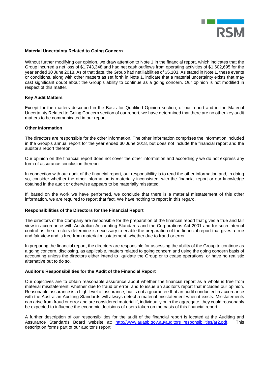

#### **Material Uncertainty Related to Going Concern**

Without further modifying our opinion, we draw attention to Note 1 in the financial report, which indicates that the Group incurred a net loss of \$1,743,348 and had net cash outflows from operating activities of \$1,602,695 for the year ended 30 June 2018. As of that date, the Group had net liabilities of \$5,103. As stated in Note 1, these events or conditions, along with other matters as set forth in Note 1, indicate that a material uncertainty exists that may cast significant doubt about the Group's ability to continue as a going concern. Our opinion is not modified in respect of this matter.

#### **Key Audit Matters**

Except for the matters described in the Basis for Qualified Opinion section, of our report and in the Material Uncertainty Related to Going Concern section of our report, we have determined that there are no other key audit matters to be communicated in our report.

#### **Other Information**

The directors are responsible for the other information. The other information comprises the information included in the Group's annual report for the year ended 30 June 2018, but does not include the financial report and the auditor's report thereon.

Our opinion on the financial report does not cover the other information and accordingly we do not express any form of assurance conclusion thereon.

In connection with our audit of the financial report, our responsibility is to read the other information and, in doing so, consider whether the other information is materially inconsistent with the financial report or our knowledge obtained in the audit or otherwise appears to be materially misstated.

If, based on the work we have performed, we conclude that there is a material misstatement of this other information, we are required to report that fact. We have nothing to report in this regard.

#### **Responsibilities of the Directors for the Financial Report**

The directors of the Company are responsible for the preparation of the financial report that gives a true and fair view in accordance with Australian Accounting Standards and the Corporations Act 2001 and for such internal control as the directors determine is necessary to enable the preparation of the financial report that gives a true and fair view and is free from material misstatement, whether due to fraud or error.

In preparing the financial report, the directors are responsible for assessing the ability of the Group to continue as a going concern, disclosing, as applicable, matters related to going concern and using the going concern basis of accounting unless the directors either intend to liquidate the Group or to cease operations, or have no realistic alternative but to do so.

### **Auditor's Responsibilities for the Audit of the Financial Report**

Our objectives are to obtain reasonable assurance about whether the financial report as a whole is free from material misstatement, whether due to fraud or error, and to issue an auditor's report that includes our opinion. Reasonable assurance is a high level of assurance, but is not a guarantee that an audit conducted in accordance with the Australian Auditing Standards will always detect a material misstatement when it exists. Misstatements can arise from fraud or error and are considered material if, individually or in the aggregate, they could reasonably be expected to influence the economic decisions of users taken on the basis of this financial report.

A further description of our responsibilities for the audit of the financial report is located at the Auditing and Assurance Standards Board website at: http://www.auasb.gov.au/auditors\_responsibilities/ar2.pdf. This description forms part of our auditor's report.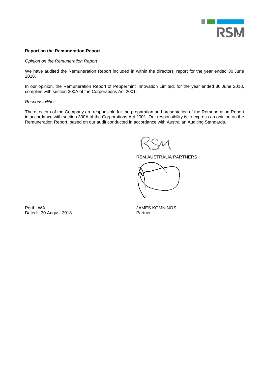

#### **Report on the Remuneration Report**

#### *Opinion on the Remuneration Report*

We have audited the Remuneration Report included in within the directors' report for the year ended 30 June 2018.

In our opinion, the Remuneration Report of Peppermint Innovation Limited, for the year ended 30 June 2018, complies with section 300A of the Corporations Act 2001.

#### *Responsibilities*

The directors of the Company are responsible for the preparation and presentation of the Remuneration Report in accordance with section 300A of the Corporations Act 2001. Our responsibility is to express an opinion on the Remuneration Report, based on our audit conducted in accordance with Australian Auditing Standards.

RSM AUSTRALIA PARTNERS

Perth, WA<br>Dated: 30 August 2018 **Dates Communist Communist Communist Communist Communist Communist Communist Communist Communist Communist Communist Communist Communist Communist Communist Communist Communist Communist Com** Dated:  $30$  August 2018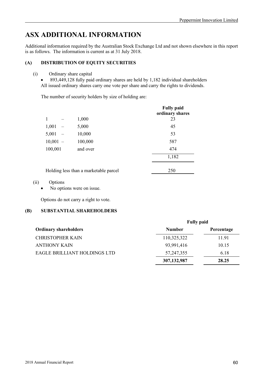# **ASX ADDITIONAL INFORMATION**

Additional information required by the Australian Stock Exchange Ltd and not shown elsewhere in this report is as follows. The information is current as at 31 July 2018.

# **(A) DISTRIBUTION OF EQUITY SECURITIES**

(i) Ordinary share capital

• 893,449,128 fully paid ordinary shares are held by 1,182 individual shareholders All issued ordinary shares carry one vote per share and carry the rights to dividends.

The number of security holders by size of holding are:

|            |                                       | <b>Fully paid</b><br>ordinary shares |
|------------|---------------------------------------|--------------------------------------|
| 1          | 1,000                                 | 23                                   |
| 1,001      | 5,000                                 | 45                                   |
| 5,001      | 10,000                                | 53                                   |
| $10,001 -$ | 100,000                               | 587                                  |
| 100,001    | and over                              | 474                                  |
|            |                                       | 1,182                                |
|            | Holding less than a marketable parcel | 250                                  |

- (ii) Options
	- No options were on issue.

Options do not carry a right to vote.

# **(B) SUBSTANTIAL SHAREHOLDERS**

|                              | <b>Fully paid</b> |            |
|------------------------------|-------------------|------------|
| <b>Ordinary shareholders</b> | <b>Number</b>     | Percentage |
| <b>CHRISTOPHER KAIN</b>      | 110,325,322       | 11.91      |
| ANTHONY KAIN                 | 93,991,416        | 10.15      |
| EAGLE BRILLIANT HOLDINGS LTD | 57, 247, 355      | 6.18       |
|                              | 307,132,987       | 28.25      |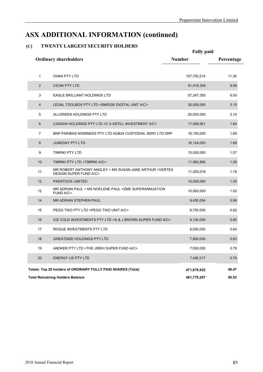# **ASX ADDITIONAL INFORMATION (continued)**

# **(C) TWENTY LARGEST SECURITY HOLDERS**

|                                                                             |                                                                                                         | <b>Fully paid</b> |            |
|-----------------------------------------------------------------------------|---------------------------------------------------------------------------------------------------------|-------------------|------------|
| <b>Ordinary shareholders</b>                                                |                                                                                                         | <b>Number</b>     | Percentage |
| 1                                                                           | OHKA PTY LTD                                                                                            | 107,750,214       | 11.30      |
| $\overline{2}$                                                              | <b>CICAK PTY LTD</b>                                                                                    | 91,416,309        | 9.59       |
| 3                                                                           | EAGLE BRILLIANT HOLDINGS LTD                                                                            | 57,247,355        | 6.00       |
| 4                                                                           | LEGAL TOOLBOX PTY LTD <smidge a="" c="" digital="" unit=""></smidge>                                    | 30,000,000        | 3.15       |
| 5                                                                           | ALLGREEN HOLDINGS PTY LTD                                                                               | 20,000,000        | 2.10       |
| 6                                                                           | CASADA HOLDINGS PTY LTD <c a="" astill="" c="" investment=""></c>                                       | 17,556,061        | 1.84       |
| $\overline{7}$                                                              | BNP PARIBAS NOMINEES PTY LTD HUB24 CUSTODIAL SERV LTD DRP                                               | 16,150,000        | 1.69       |
| 8                                                                           | <b>JUNEDAY PTY LTD</b>                                                                                  | 16, 124, 053      | 1.69       |
| 9                                                                           | <b>TIMRIKI PTY LTD</b>                                                                                  | 15,000,000        | 1.57       |
| 10                                                                          | TIMRIKI PTY LTD <timriki a="" c=""></timriki>                                                           | 11,992,890        | 1.26       |
| 11                                                                          | MR ROBERT ANTHONY ANGLEY + MS SUSAN JANE ARTHUR <vertex<br><b>DESIGN SUPER FUND A/C&gt;</b></vertex<br> | 11,250,019        | 1.18       |
| 12                                                                          | PADSTOCK LIMITED                                                                                        | 10,000,000        | 1.05       |
| 12                                                                          | MR ADRIAN PAUL + MS NOELENE PAUL <zme superannuation<br=""><b>FUND A/C&gt;</b></zme>                    | 10,000,000        | 1.05       |
| 14                                                                          | <b>MR ADRIAN STEPHEN PAUL</b>                                                                           | 9,450,004         | 0.99       |
| 15                                                                          | PEGG TWO PTY LTD <pegg a="" c="" two="" unit=""></pegg>                                                 | 8,750,000         | 0.92       |
| 16                                                                          | ICE COLD INVESTMENTS PTY LTD <g &="" a="" brown="" c="" fund="" j="" super=""></g>                      | 8,100,000         | 0.85       |
| 17                                                                          | ROGUE INVESTMENTS PTY LTD                                                                               | 8,000,000         | 0.84       |
| 18                                                                          | <b>GREATSIDE HOLDINGS PTY LTD</b>                                                                       | 7,900,000         | 0.83       |
| 19                                                                          | ANDKER PTY LTD <the a="" c="" fund="" jireh="" super=""></the>                                          | 7,500,000         | 0.79       |
| 20                                                                          | <b>ENERGY US PTY LTD</b>                                                                                | 7,492,017         | 0.79       |
| Totals: Top 20 holders of ORDINARY FULLY PAID SHARES (Total)<br>471,678,922 |                                                                                                         |                   | 49.47      |
| <b>Total Remaining Holders Balance</b>                                      |                                                                                                         | 481,770,207       | 50.53      |